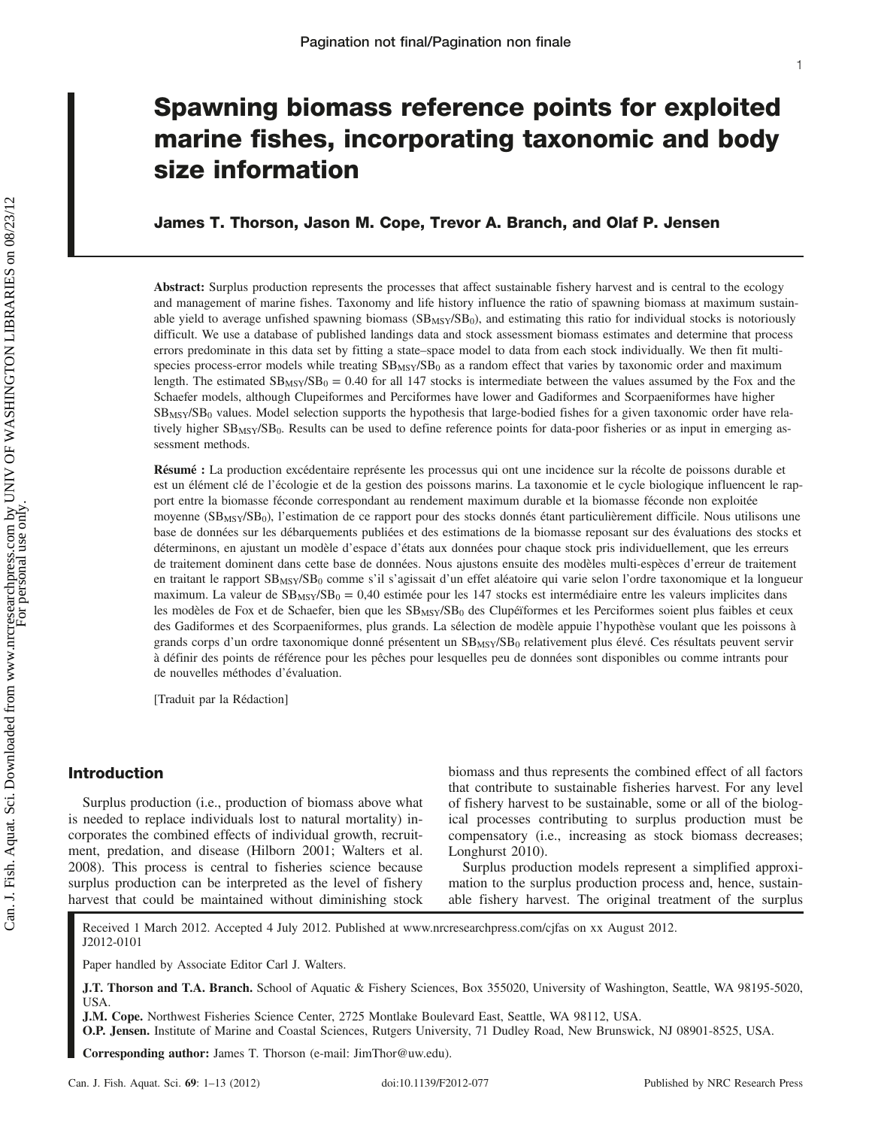# Spawning biomass reference points for exploited marine fishes, incorporating taxonomic and body size information

# James T. Thorson, Jason M. Cope, Trevor A. Branch, and Olaf P. Jensen

Abstract: Surplus production represents the processes that affect sustainable fishery harvest and is central to the ecology and management of marine fishes. Taxonomy and life history influence the ratio of spawning biomass at maximum sustainable yield to average unfished spawning biomass  $(SB_{MSY}/SB_0)$ , and estimating this ratio for individual stocks is notoriously difficult. We use a database of published landings data and stock assessment biomass estimates and determine that process errors predominate in this data set by fitting a state–space model to data from each stock individually. We then fit multispecies process-error models while treating SB<sub>MSY</sub>/SB<sub>0</sub> as a random effect that varies by taxonomic order and maximum length. The estimated  $SB_{MSY}/SB_0 = 0.40$  for all 147 stocks is intermediate between the values assumed by the Fox and the Schaefer models, although Clupeiformes and Perciformes have lower and Gadiformes and Scorpaeniformes have higher SB<sub>MSY</sub>/SB<sub>0</sub> values. Model selection supports the hypothesis that large-bodied fishes for a given taxonomic order have relatively higher SB<sub>MSY</sub>/SB<sub>0</sub>. Results can be used to define reference points for data-poor fisheries or as input in emerging assessment methods.

Résumé : La production excédentaire représente les processus qui ont une incidence sur la récolte de poissons durable et est un élément clé de l'écologie et de la gestion des poissons marins. La taxonomie et le cycle biologique influencent le rapport entre la biomasse féconde correspondant au rendement maximum durable et la biomasse féconde non exploitée moyenne (SB<sub>MSY</sub>/SB<sub>0</sub>), l'estimation de ce rapport pour des stocks donnés étant particulièrement difficile. Nous utilisons une base de données sur les débarquements publiées et des estimations de la biomasse reposant sur des évaluations des stocks et déterminons, en ajustant un modèle d'espace d'états aux données pour chaque stock pris individuellement, que les erreurs de traitement dominent dans cette base de données. Nous ajustons ensuite des modèles multi-espèces d'erreur de traitement en traitant le rapport SB<sub>MSY</sub>/SB<sub>0</sub> comme s'il s'agissait d'un effet aléatoire qui varie selon l'ordre taxonomique et la longueur maximum. La valeur de  $SB_{\text{MSY}}/SB_0 = 0.40$  estimée pour les 147 stocks est intermédiaire entre les valeurs implicites dans les modèles de Fox et de Schaefer, bien que les SB<sub>MSY</sub>/SB<sub>0</sub> des Clupéïformes et les Perciformes soient plus faibles et ceux des Gadiformes et des Scorpaeniformes, plus grands. La sélection de modèle appuie l'hypothèse voulant que les poissons à grands corps d'un ordre taxonomique donné présentent un SB<sub>MSY</sub>/SB<sub>0</sub> relativement plus élevé. Ces résultats peuvent servir à définir des points de référence pour les pêches pour lesquelles peu de données sont disponibles ou comme intrants pour de nouvelles méthodes d'évaluation.

[Traduit par la Rédaction]

# Introduction

Surplus production (i.e., production of biomass above what is needed to replace individuals lost to natural mortality) incorporates the combined effects of individual growth, recruitment, predation, and disease (Hilborn 2001; Walters et al. 2008). This process is central to fisheries science because surplus production can be interpreted as the level of fishery harvest that could be maintained without diminishing stock biomass and thus represents the combined effect of all factors that contribute to sustainable fisheries harvest. For any level of fishery harvest to be sustainable, some or all of the biological processes contributing to surplus production must be compensatory (i.e., increasing as stock biomass decreases; Longhurst 2010).

Surplus production models represent a simplified approximation to the surplus production process and, hence, sustainable fishery harvest. The original treatment of the surplus

Received 1 March 2012. Accepted 4 July 2012. Published at www.nrcresearchpress.com/cjfas on xx August 2012. J2012-0101

Paper handled by Associate Editor Carl J. Walters.

J.T. Thorson and T.A. Branch. School of Aquatic & Fishery Sciences, Box 355020, University of Washington, Seattle, WA 98195-5020, USA.

J.M. Cope. Northwest Fisheries Science Center, 2725 Montlake Boulevard East, Seattle, WA 98112, USA. O.P. Jensen. Institute of Marine and Coastal Sciences, Rutgers University, 71 Dudley Road, New Brunswick, NJ 08901-8525, USA.

Corresponding author: James T. Thorson (e-mail: JimThor@uw.edu).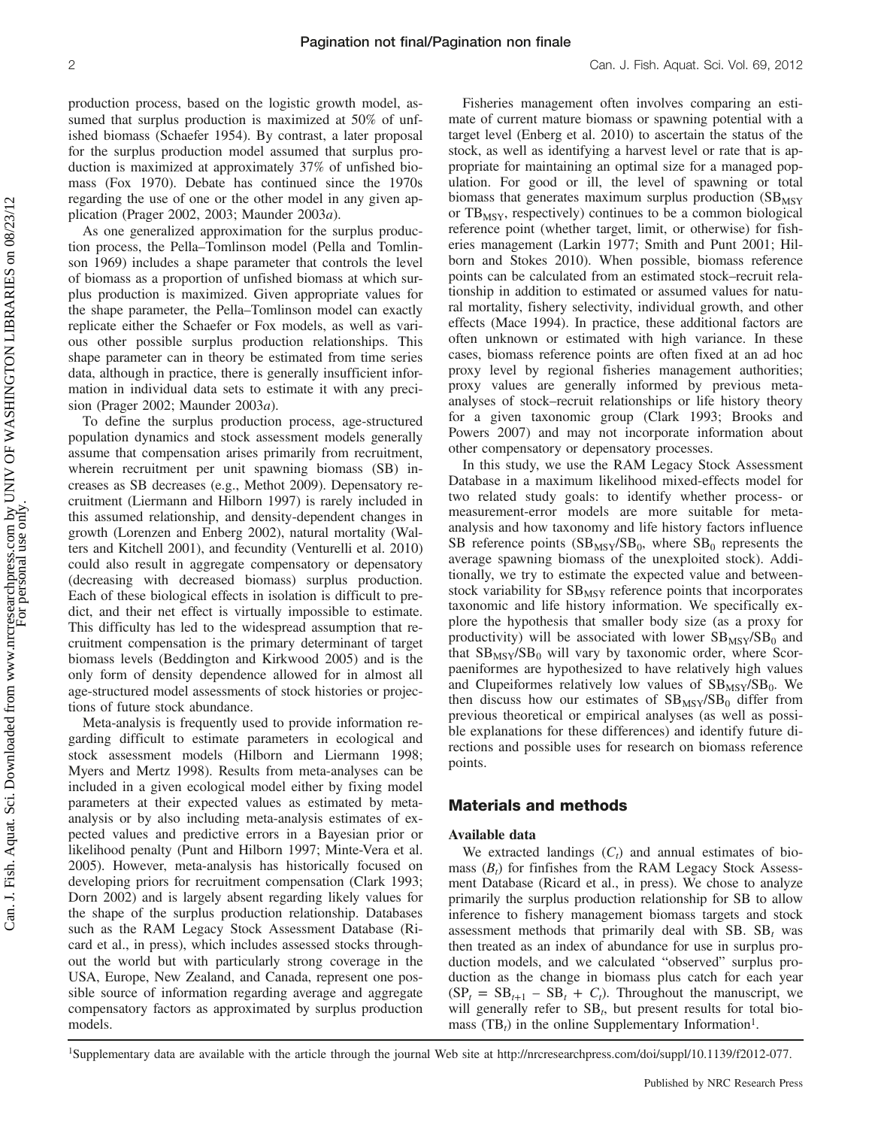production process, based on the logistic growth model, assumed that surplus production is maximized at 50% of unfished biomass (Schaefer 1954). By contrast, a later proposal for the surplus production model assumed that surplus production is maximized at approximately 37% of unfished biomass (Fox 1970). Debate has continued since the 1970s regarding the use of one or the other model in any given application (Prager 2002, 2003; Maunder 2003a).

As one generalized approximation for the surplus production process, the Pella–Tomlinson model (Pella and Tomlinson 1969) includes a shape parameter that controls the level of biomass as a proportion of unfished biomass at which surplus production is maximized. Given appropriate values for the shape parameter, the Pella–Tomlinson model can exactly replicate either the Schaefer or Fox models, as well as various other possible surplus production relationships. This shape parameter can in theory be estimated from time series data, although in practice, there is generally insufficient information in individual data sets to estimate it with any precision (Prager 2002; Maunder 2003a).

To define the surplus production process, age-structured population dynamics and stock assessment models generally assume that compensation arises primarily from recruitment, wherein recruitment per unit spawning biomass (SB) increases as SB decreases (e.g., Methot 2009). Depensatory recruitment (Liermann and Hilborn 1997) is rarely included in this assumed relationship, and density-dependent changes in growth (Lorenzen and Enberg 2002), natural mortality (Walters and Kitchell 2001), and fecundity (Venturelli et al. 2010) could also result in aggregate compensatory or depensatory (decreasing with decreased biomass) surplus production. Each of these biological effects in isolation is difficult to predict, and their net effect is virtually impossible to estimate. This difficulty has led to the widespread assumption that recruitment compensation is the primary determinant of target biomass levels (Beddington and Kirkwood 2005) and is the only form of density dependence allowed for in almost all age-structured model assessments of stock histories or projections of future stock abundance.

Meta-analysis is frequently used to provide information regarding difficult to estimate parameters in ecological and stock assessment models (Hilborn and Liermann 1998; Myers and Mertz 1998). Results from meta-analyses can be included in a given ecological model either by fixing model parameters at their expected values as estimated by metaanalysis or by also including meta-analysis estimates of expected values and predictive errors in a Bayesian prior or likelihood penalty (Punt and Hilborn 1997; Minte-Vera et al. 2005). However, meta-analysis has historically focused on developing priors for recruitment compensation (Clark 1993; Dorn 2002) and is largely absent regarding likely values for the shape of the surplus production relationship. Databases such as the RAM Legacy Stock Assessment Database (Ricard et al., in press), which includes assessed stocks throughout the world but with particularly strong coverage in the USA, Europe, New Zealand, and Canada, represent one possible source of information regarding average and aggregate compensatory factors as approximated by surplus production models.

Fisheries management often involves comparing an estimate of current mature biomass or spawning potential with a target level (Enberg et al. 2010) to ascertain the status of the stock, as well as identifying a harvest level or rate that is appropriate for maintaining an optimal size for a managed population. For good or ill, the level of spawning or total biomass that generates maximum surplus production  $(SB_{MSY})$ or  $TB_{MSY}$ , respectively) continues to be a common biological reference point (whether target, limit, or otherwise) for fisheries management (Larkin 1977; Smith and Punt 2001; Hilborn and Stokes 2010). When possible, biomass reference points can be calculated from an estimated stock–recruit relationship in addition to estimated or assumed values for natural mortality, fishery selectivity, individual growth, and other effects (Mace 1994). In practice, these additional factors are often unknown or estimated with high variance. In these cases, biomass reference points are often fixed at an ad hoc proxy level by regional fisheries management authorities; proxy values are generally informed by previous metaanalyses of stock–recruit relationships or life history theory for a given taxonomic group (Clark 1993; Brooks and Powers 2007) and may not incorporate information about other compensatory or depensatory processes.

In this study, we use the RAM Legacy Stock Assessment Database in a maximum likelihood mixed-effects model for two related study goals: to identify whether process- or measurement-error models are more suitable for metaanalysis and how taxonomy and life history factors influence SB reference points  $(SB_{MSY}/SB_0,$  where  $SB_0$  represents the average spawning biomass of the unexploited stock). Additionally, we try to estimate the expected value and betweenstock variability for  $SB_{MSY}$  reference points that incorporates taxonomic and life history information. We specifically explore the hypothesis that smaller body size (as a proxy for productivity) will be associated with lower  $SB_{MSY}/SB_0$  and that  $SB_{MSY}/SB_0$  will vary by taxonomic order, where Scorpaeniformes are hypothesized to have relatively high values and Clupeiformes relatively low values of  $SB_{MSY}/SB_0$ . We then discuss how our estimates of  $SB_{MSY}/SB_0$  differ from previous theoretical or empirical analyses (as well as possible explanations for these differences) and identify future directions and possible uses for research on biomass reference points.

## Materials and methods

#### Available data

We extracted landings  $(C_t)$  and annual estimates of biomass  $(B_t)$  for finfishes from the RAM Legacy Stock Assessment Database (Ricard et al., in press). We chose to analyze primarily the surplus production relationship for SB to allow inference to fishery management biomass targets and stock assessment methods that primarily deal with SB.  $SB_t$  was then treated as an index of abundance for use in surplus production models, and we calculated "observed" surplus production as the change in biomass plus catch for each year  $(SP_t = SB_{t+1} - SB_t + C_t)$ . Throughout the manuscript, we will generally refer to  $SB_t$ , but present results for total biomass  $(TB_t)$  in the online Supplementary Information<sup>1</sup>.

1Supplementary data are available with the article through the journal Web site at http://nrcresearchpress.com/doi/suppl/10.1139/f2012-077.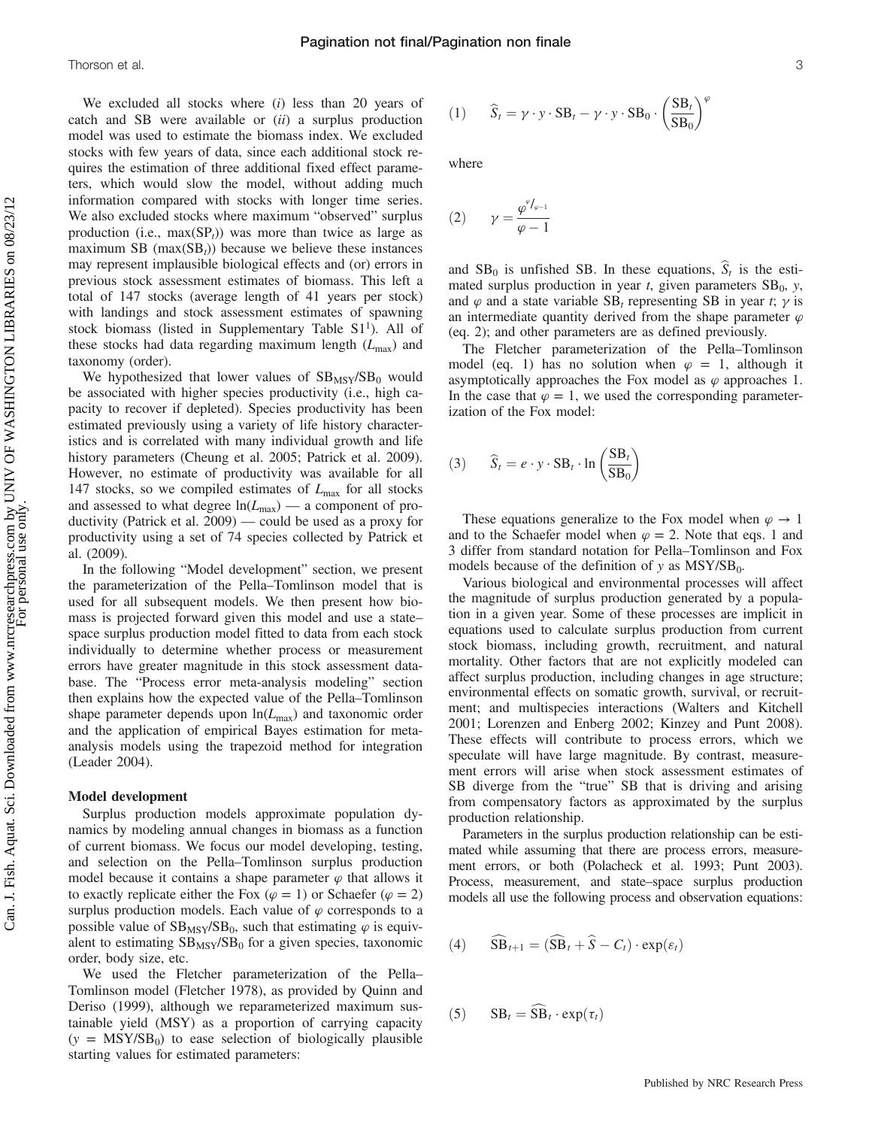We excluded all stocks where  $(i)$  less than 20 years of catch and SB were available or  $(ii)$  a surplus production model was used to estimate the biomass index. We excluded stocks with few years of data, since each additional stock requires the estimation of three additional fixed effect parameters, which would slow the model, without adding much information compared with stocks with longer time series. We also excluded stocks where maximum "observed" surplus production (i.e.,  $max(SP_t)$ ) was more than twice as large as maximum SB ( $max(SB_t)$ ) because we believe these instances may represent implausible biological effects and (or) errors in previous stock assessment estimates of biomass. This left a total of 147 stocks (average length of 41 years per stock) with landings and stock assessment estimates of spawning stock biomass (listed in Supplementary Table S11). All of these stocks had data regarding maximum length  $(L_{\text{max}})$  and taxonomy (order).

We hypothesized that lower values of  $SB_{MSY}/SB_0$  would be associated with higher species productivity (i.e., high capacity to recover if depleted). Species productivity has been estimated previously using a variety of life history characteristics and is correlated with many individual growth and life history parameters (Cheung et al. 2005; Patrick et al. 2009). However, no estimate of productivity was available for all 147 stocks, so we compiled estimates of  $L_{\text{max}}$  for all stocks and assessed to what degree  $ln(L_{max})$  — a component of productivity (Patrick et al. 2009) — could be used as a proxy for productivity using a set of 74 species collected by Patrick et al. (2009).

In the following "Model development" section, we present the parameterization of the Pella–Tomlinson model that is used for all subsequent models. We then present how biomass is projected forward given this model and use a state– space surplus production model fitted to data from each stock individually to determine whether process or measurement errors have greater magnitude in this stock assessment database. The "Process error meta-analysis modeling" section then explains how the expected value of the Pella–Tomlinson shape parameter depends upon  $ln(L_{max})$  and taxonomic order and the application of empirical Bayes estimation for metaanalysis models using the trapezoid method for integration (Leader 2004).

#### Model development

Surplus production models approximate population dynamics by modeling annual changes in biomass as a function of current biomass. We focus our model developing, testing, and selection on the Pella–Tomlinson surplus production model because it contains a shape parameter  $\varphi$  that allows it to exactly replicate either the Fox ( $\varphi = 1$ ) or Schaefer ( $\varphi = 2$ ) surplus production models. Each value of  $\varphi$  corresponds to a possible value of  $SB_{MSY}/SB_0$ , such that estimating  $\varphi$  is equivalent to estimating  $SB_{\text{MSY}}/SB_0$  for a given species, taxonomic order, body size, etc.

We used the Fletcher parameterization of the Pella– Tomlinson model (Fletcher 1978), as provided by Quinn and Deriso (1999), although we reparameterized maximum sustainable yield (MSY) as a proportion of carrying capacity  $(y = \text{MSY/SB}_0)$  to ease selection of biologically plausible starting values for estimated parameters:

(1) 
$$
\widehat{S}_t = \gamma \cdot y \cdot SB_t - \gamma \cdot y \cdot SB_0 \cdot \left(\frac{SB_t}{SB_0}\right)^{\varphi}
$$

where

$$
(2) \qquad \gamma = \frac{\varphi^{\varphi_{\ell-1}}}{\varphi - 1}
$$

and  $SB_0$  is unfished SB. In these equations,  $S_t$  is the estimated surplus production in year  $t$ , given parameters  $SB_0$ , y, and  $\varphi$  and a state variable SB<sub>t</sub> representing SB in year t;  $\gamma$  is an intermediate quantity derived from the shape parameter  $\varphi$ (eq. 2); and other parameters are as defined previously.

The Fletcher parameterization of the Pella–Tomlinson model (eq. 1) has no solution when  $\varphi = 1$ , although it asymptotically approaches the Fox model as  $\varphi$  approaches 1. In the case that  $\varphi = 1$ , we used the corresponding parameterization of the Fox model:

$$
(3) \qquad \widehat{S}_t = e \cdot y \cdot SB_t \cdot \ln\left(\frac{SB_t}{SB_0}\right)
$$

These equations generalize to the Fox model when  $\varphi \to 1$ and to the Schaefer model when  $\varphi = 2$ . Note that eqs. 1 and 3 differ from standard notation for Pella–Tomlinson and Fox models because of the definition of y as  $MSY/SB_0$ .

Various biological and environmental processes will affect the magnitude of surplus production generated by a population in a given year. Some of these processes are implicit in equations used to calculate surplus production from current stock biomass, including growth, recruitment, and natural mortality. Other factors that are not explicitly modeled can affect surplus production, including changes in age structure; environmental effects on somatic growth, survival, or recruitment; and multispecies interactions (Walters and Kitchell 2001; Lorenzen and Enberg 2002; Kinzey and Punt 2008). These effects will contribute to process errors, which we speculate will have large magnitude. By contrast, measurement errors will arise when stock assessment estimates of SB diverge from the "true" SB that is driving and arising from compensatory factors as approximated by the surplus production relationship.

Parameters in the surplus production relationship can be estimated while assuming that there are process errors, measurement errors, or both (Polacheck et al. 1993; Punt 2003). Process, measurement, and state–space surplus production models all use the following process and observation equations:

(4) 
$$
\widehat{\text{SB}}_{t+1} = (\widehat{\text{SB}}_t + \widehat{S} - C_t) \cdot \exp(\varepsilon_t)
$$

$$
(5) \qquad \mathrm{SB}_t = \widehat{\mathrm{SB}}_t \cdot \exp(\tau_t)
$$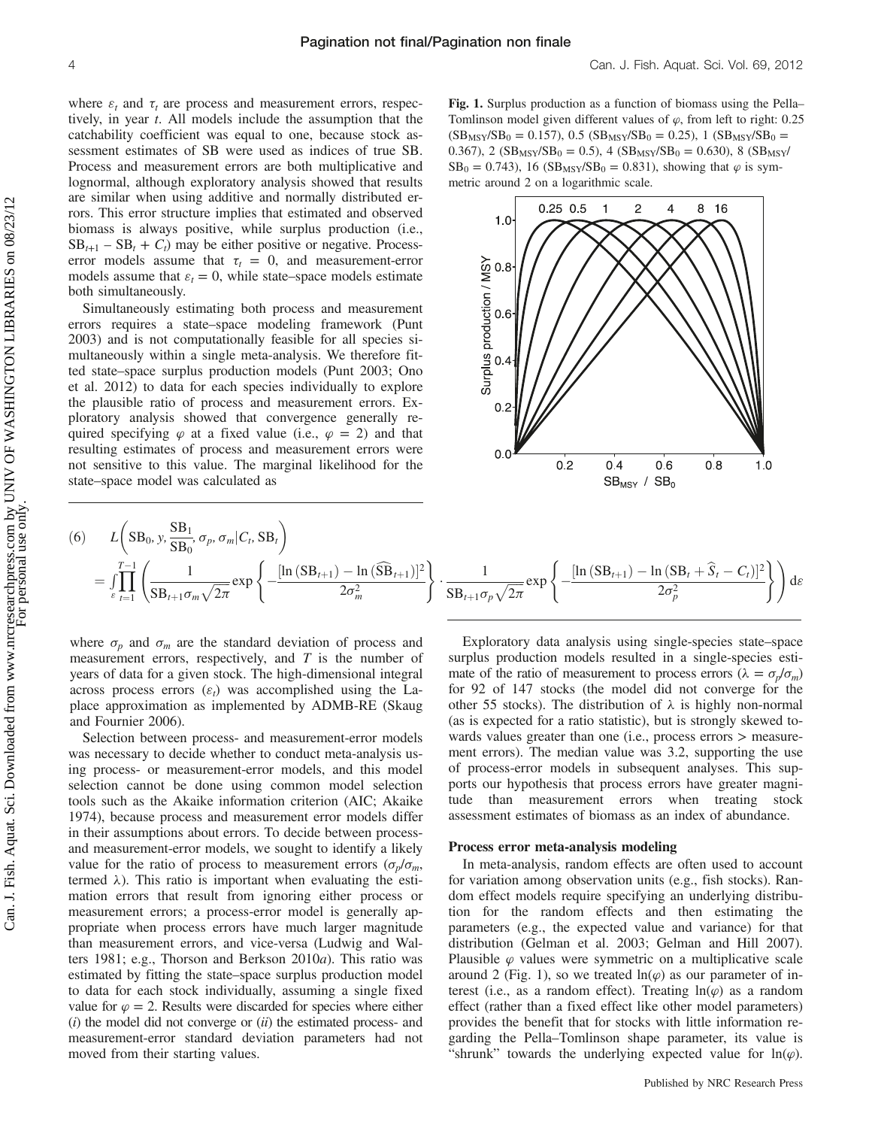where  $\varepsilon_t$  and  $\tau_t$  are process and measurement errors, respectively, in year t. All models include the assumption that the catchability coefficient was equal to one, because stock assessment estimates of SB were used as indices of true SB. Process and measurement errors are both multiplicative and lognormal, although exploratory analysis showed that results are similar when using additive and normally distributed errors. This error structure implies that estimated and observed biomass is always positive, while surplus production (i.e.,  $SB_{t+1} - SB_t + C_t$  may be either positive or negative. Processerror models assume that  $\tau_t = 0$ , and measurement-error models assume that  $\varepsilon_t = 0$ , while state–space models estimate both simultaneously.

Simultaneously estimating both process and measurement errors requires a state–space modeling framework (Punt 2003) and is not computationally feasible for all species simultaneously within a single meta-analysis. We therefore fitted state–space surplus production models (Punt 2003; Ono et al. 2012) to data for each species individually to explore the plausible ratio of process and measurement errors. Exploratory analysis showed that convergence generally required specifying  $\varphi$  at a fixed value (i.e.,  $\varphi = 2$ ) and that resulting estimates of process and measurement errors were not sensitive to this value. The marginal likelihood for the state–space model was calculated as

 $CD$ 

Fig. 1. Surplus production as a function of biomass using the Pella– Tomlinson model given different values of  $\varphi$ , from left to right: 0.25  $(SB_{MSY}/SB_0 = 0.157)$ , 0.5  $(SB_{MSY}/SB_0 = 0.25)$ , 1  $(SB_{MSY}/SB_0 = 0.157)$ 0.367), 2 ( $SB$ <sub>MSY</sub>/ $SB$ <sub>0</sub> = 0.5), 4 ( $SB$ <sub>MSY</sub>/ $SB$ <sub>0</sub> = 0.630), 8 ( $SB$ <sub>MSY</sub>/  $SB_0 = 0.743$ , 16  $(SB_{MSY}/SB_0 = 0.831)$ , showing that  $\varphi$  is symmetric around 2 on a logarithmic scale.



$$
(6) \qquad L\left(SB_0, y, \frac{SB_1}{SB_0}, \sigma_p, \sigma_m | C_t, SB_t\right)
$$
\n
$$
= \int_{\varepsilon} \prod_{t=1}^{T-1} \left( \frac{1}{SB_{t+1}\sigma_m\sqrt{2\pi}} \exp\left\{-\frac{[\ln (SB_{t+1}) - \ln (\widehat{SB}_{t+1})]^2}{2\sigma_m^2}\right\} \cdot \frac{1}{SB_{t+1}\sigma_p\sqrt{2\pi}} \exp\left\{-\frac{[\ln (SB_{t+1}) - \ln (SB_t + \widehat{S}_t - C_t)]^2}{2\sigma_p^2}\right\}\right) d\varepsilon
$$

where  $\sigma_p$  and  $\sigma_m$  are the standard deviation of process and measurement errors, respectively, and  $T$  is the number of years of data for a given stock. The high-dimensional integral across process errors  $(\varepsilon_t)$  was accomplished using the Laplace approximation as implemented by ADMB-RE (Skaug and Fournier 2006).

Selection between process- and measurement-error models was necessary to decide whether to conduct meta-analysis using process- or measurement-error models, and this model selection cannot be done using common model selection tools such as the Akaike information criterion (AIC; Akaike 1974), because process and measurement error models differ in their assumptions about errors. To decide between processand measurement-error models, we sought to identify a likely value for the ratio of process to measurement errors ( $\sigma_p/\sigma_m$ , termed  $\lambda$ ). This ratio is important when evaluating the estimation errors that result from ignoring either process or measurement errors; a process-error model is generally appropriate when process errors have much larger magnitude than measurement errors, and vice-versa (Ludwig and Walters 1981; e.g., Thorson and Berkson 2010a). This ratio was estimated by fitting the state–space surplus production model to data for each stock individually, assuming a single fixed value for  $\varphi = 2$ . Results were discarded for species where either  $(i)$  the model did not converge or  $(ii)$  the estimated process- and measurement-error standard deviation parameters had not moved from their starting values.

Exploratory data analysis using single-species state–space surplus production models resulted in a single-species estimate of the ratio of measurement to process errors ( $\lambda = \sigma_p/\sigma_m$ ) for 92 of 147 stocks (the model did not converge for the other 55 stocks). The distribution of  $\lambda$  is highly non-normal (as is expected for a ratio statistic), but is strongly skewed towards values greater than one (i.e., process errors  $>$  measurement errors). The median value was 3.2, supporting the use of process-error models in subsequent analyses. This supports our hypothesis that process errors have greater magnitude than measurement errors when treating stock assessment estimates of biomass as an index of abundance.

#### Process error meta-analysis modeling

In meta-analysis, random effects are often used to account for variation among observation units (e.g., fish stocks). Random effect models require specifying an underlying distribution for the random effects and then estimating the parameters (e.g., the expected value and variance) for that distribution (Gelman et al. 2003; Gelman and Hill 2007). Plausible  $\varphi$  values were symmetric on a multiplicative scale around 2 (Fig. 1), so we treated  $ln(\varphi)$  as our parameter of interest (i.e., as a random effect). Treating  $ln(\varphi)$  as a random effect (rather than a fixed effect like other model parameters) provides the benefit that for stocks with little information regarding the Pella–Tomlinson shape parameter, its value is "shrunk" towards the underlying expected value for  $ln(\varphi)$ .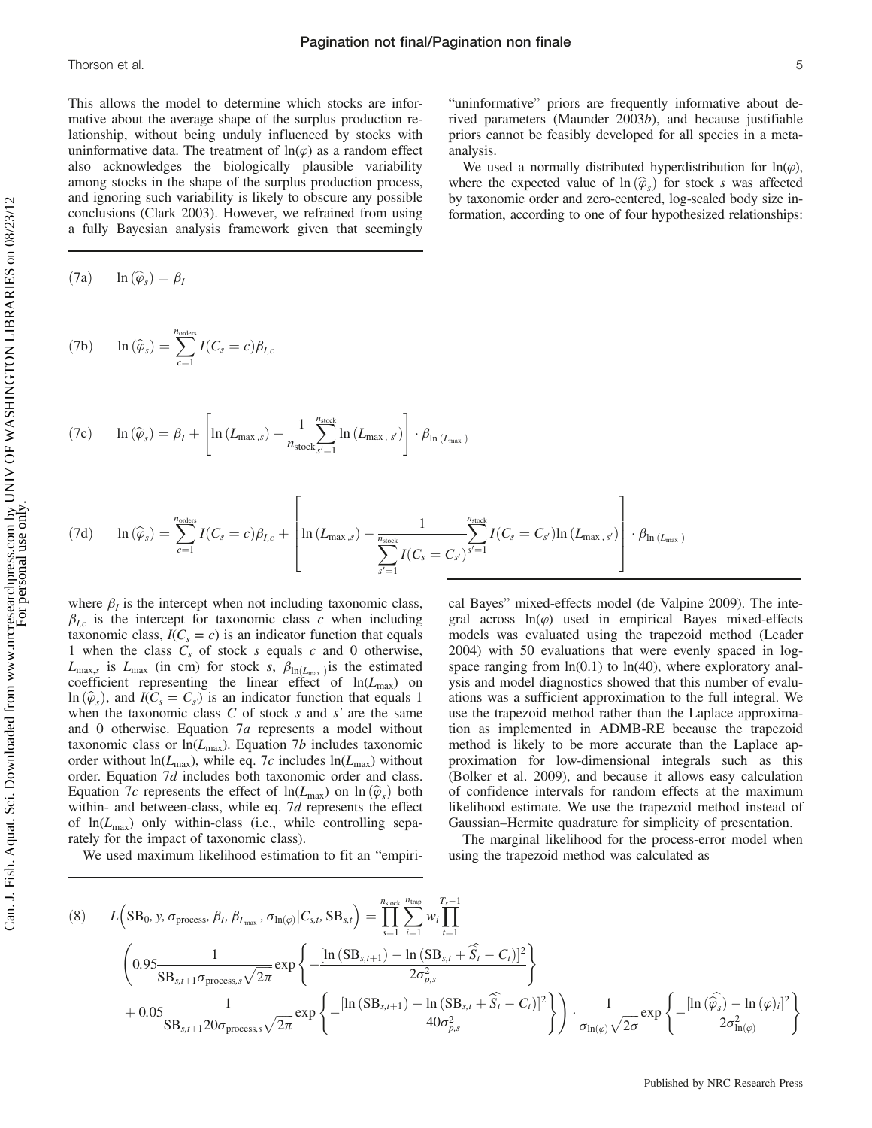analysis.

This allows the model to determine which stocks are informative about the average shape of the surplus production relationship, without being unduly influenced by stocks with uninformative data. The treatment of  $ln(\varphi)$  as a random effect also acknowledges the biologically plausible variability among stocks in the shape of the surplus production process, and ignoring such variability is likely to obscure any possible conclusions (Clark 2003). However, we refrained from using a fully Bayesian analysis framework given that seemingly

(7a)  $\ln (\widehat{\varphi}_s) = \beta_I$ 

(7b)  $\ln (\widehat{\varphi}_s) = \sum_{c=1}^{n_{\text{orders}}}$  $\sum_{c=1} I(C_s = c) \beta_{I,c}$ 

(7c) 
$$
\ln(\widehat{\varphi}_s) = \beta_I + \left[ \ln(L_{\max,s}) - \frac{1}{n_{\text{stock}}}\sum_{s'=1}^{n_{\text{stock}}} \ln(L_{\max,s'}) \right] \cdot \beta_{\ln(L_{\max})}
$$

$$
(7d) \qquad \ln\left(\widehat{\varphi}_s\right) = \sum_{c=1}^{n_{\text{orders}}} I(C_s = c) \beta_{I,c} + \left[ \ln\left(L_{\max,s}\right) - \frac{1}{\sum_{s'=1}^{n_{\text{stock}}} I(C_s = C_{s'})^{s'=1}} I(C_s = C_{s'}) \ln\left(L_{\max,s'}\right) \right] \cdot \beta_{\ln\left(L_{\max}\right)}
$$

where  $\beta_I$  is the intercept when not including taxonomic class,  $\beta_{Lc}$  is the intercept for taxonomic class c when including taxonomic class,  $I(C_s = c)$  is an indicator function that equals 1 when the class  $C_s$  of stock s equals c and 0 otherwise,  $L_{\text{max,s}}$  is  $L_{\text{max}}$  (in cm) for stock s,  $\beta_{\text{ln}(L_{\text{max}})}$  is the estimated coefficient representing the linear effect of  $\text{ln}(L_{\text{max}})$  on  $\ln(\hat{\varphi}_s)$ , and  $I(C_s = C_{s})$  is an indicator function that equals 1 when the taxonomic class  $C$  of stock  $s$  and  $s'$  are the same and 0 otherwise. Equation 7a represents a model without taxonomic class or  $ln(L_{max})$ . Equation 7b includes taxonomic order without  $ln(L_{\text{max}})$ , while eq. 7c includes  $ln(L_{\text{max}})$  without order. Equation 7d includes both taxonomic order and class. Equation 7c represents the effect of  $ln(L_{\text{max}})$  on  $ln(\hat{\varphi}_s)$  both within- and between-class, while eq. 7d represents the effect of  $ln(L_{\text{max}})$  only within-class (i.e., while controlling separately for the impact of taxonomic class).

We used maximum likelihood estimation to fit an "empiri-

cal Bayes" mixed-effects model (de Valpine 2009). The integral across  $ln(\varphi)$  used in empirical Bayes mixed-effects models was evaluated using the trapezoid method (Leader 2004) with 50 evaluations that were evenly spaced in logspace ranging from  $ln(0.1)$  to  $ln(40)$ , where exploratory analysis and model diagnostics showed that this number of evaluations was a sufficient approximation to the full integral. We use the trapezoid method rather than the Laplace approximation as implemented in ADMB-RE because the trapezoid method is likely to be more accurate than the Laplace approximation for low-dimensional integrals such as this (Bolker et al. 2009), and because it allows easy calculation of confidence intervals for random effects at the maximum likelihood estimate. We use the trapezoid method instead of Gaussian–Hermite quadrature for simplicity of presentation.

"uninformative" priors are frequently informative about derived parameters (Maunder 2003b), and because justifiable priors cannot be feasibly developed for all species in a meta-

We used a normally distributed hyperdistribution for  $\ln(\varphi)$ , where the expected value of  $\ln(\widehat{\varphi}_{s})$  for stock s was affected by taxonomic order and zero-centered, log-scaled body size information, according to one of four hypothesized relationships:

The marginal likelihood for the process-error model when using the trapezoid method was calculated as

$$
(8) \qquad L(SB_0, y, \sigma_{\text{process}}, \beta_I, \beta_{L_{\text{max}}}, \sigma_{\text{In}(\varphi)}|C_{s,t}, SB_{s,t}) = \prod_{s=1}^{n_{\text{stock}}} \sum_{i=1}^{n_{\text{true}}} w_i \prod_{t=1}^{T_s - 1}
$$
\n
$$
\left(0.95 \frac{1}{SB_{s,t+1} \sigma_{\text{process},s} \sqrt{2\pi}} \exp\left\{-\frac{[\ln(SB_{s,t+1}) - \ln(SB_{s,t} + \widehat{S}_t - C_t)]^2}{2\sigma_{p,s}^2}\right\}
$$
\n
$$
+ 0.05 \frac{1}{SB_{s,t+1} 20 \sigma_{\text{process},s} \sqrt{2\pi}} \exp\left\{-\frac{[\ln(SB_{s,t+1}) - \ln(SB_{s,t} + \widehat{S}_t - C_t)]^2}{40\sigma_{p,s}^2}\right\}\right) \cdot \frac{1}{\sigma_{\text{In}(\varphi)}\sqrt{2\sigma}} \exp\left\{-\frac{[\ln(\widehat{\varphi}_s) - \ln(\varphi)_i]^2}{2\sigma_{\text{In}(\varphi)}^2}\right\}
$$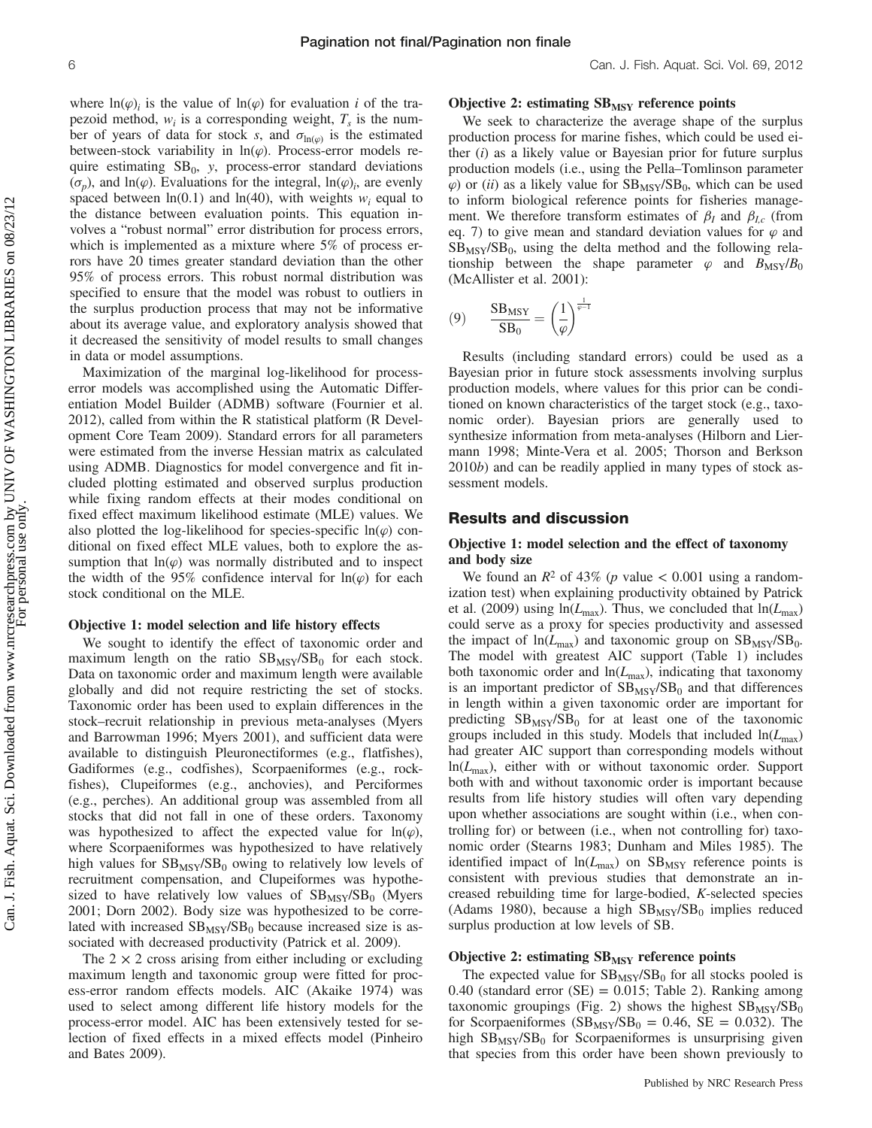where  $\ln(\varphi)$  is the value of  $\ln(\varphi)$  for evaluation i of the trapezoid method,  $w_i$  is a corresponding weight,  $T_s$  is the number of years of data for stock s, and  $\sigma_{\ln(\varphi)}$  is the estimated between-stock variability in  $ln(\varphi)$ . Process-error models require estimating  $SB_0$ , y, process-error standard deviations  $(\sigma_n)$ , and ln( $\varphi$ ). Evaluations for the integral, ln( $\varphi$ )<sub>i</sub>, are evenly spaced between  $ln(0.1)$  and  $ln(40)$ , with weights w<sub>i</sub> equal to the distance between evaluation points. This equation involves a "robust normal" error distribution for process errors, which is implemented as a mixture where 5% of process errors have 20 times greater standard deviation than the other 95% of process errors. This robust normal distribution was specified to ensure that the model was robust to outliers in the surplus production process that may not be informative about its average value, and exploratory analysis showed that it decreased the sensitivity of model results to small changes in data or model assumptions.

Maximization of the marginal log-likelihood for processerror models was accomplished using the Automatic Differentiation Model Builder (ADMB) software (Fournier et al. 2012), called from within the R statistical platform (R Development Core Team 2009). Standard errors for all parameters were estimated from the inverse Hessian matrix as calculated using ADMB. Diagnostics for model convergence and fit included plotting estimated and observed surplus production while fixing random effects at their modes conditional on fixed effect maximum likelihood estimate (MLE) values. We also plotted the log-likelihood for species-specific  $ln(\varphi)$  conditional on fixed effect MLE values, both to explore the assumption that  $ln(\varphi)$  was normally distributed and to inspect the width of the 95% confidence interval for  $ln(\varphi)$  for each stock conditional on the MLE.

#### Objective 1: model selection and life history effects

We sought to identify the effect of taxonomic order and maximum length on the ratio  $SB_{MSY}/SB_0$  for each stock. Data on taxonomic order and maximum length were available globally and did not require restricting the set of stocks. Taxonomic order has been used to explain differences in the stock–recruit relationship in previous meta-analyses (Myers and Barrowman 1996; Myers 2001), and sufficient data were available to distinguish Pleuronectiformes (e.g., flatfishes), Gadiformes (e.g., codfishes), Scorpaeniformes (e.g., rockfishes), Clupeiformes (e.g., anchovies), and Perciformes (e.g., perches). An additional group was assembled from all stocks that did not fall in one of these orders. Taxonomy was hypothesized to affect the expected value for  $ln(\varphi)$ , where Scorpaeniformes was hypothesized to have relatively high values for  $SB_{MSY}/SB_0$  owing to relatively low levels of recruitment compensation, and Clupeiformes was hypothesized to have relatively low values of  $SB_{MSY}/SB_0$  (Myers 2001; Dorn 2002). Body size was hypothesized to be correlated with increased  $SB_{MSY}/SB_0$  because increased size is associated with decreased productivity (Patrick et al. 2009).

The  $2 \times 2$  cross arising from either including or excluding maximum length and taxonomic group were fitted for process-error random effects models. AIC (Akaike 1974) was used to select among different life history models for the process-error model. AIC has been extensively tested for selection of fixed effects in a mixed effects model (Pinheiro and Bates 2009).

#### Objective 2: estimating  $SB<sub>MSY</sub>$  reference points

We seek to characterize the average shape of the surplus production process for marine fishes, which could be used either  $(i)$  as a likely value or Bayesian prior for future surplus production models (i.e., using the Pella–Tomlinson parameter  $\varphi$ ) or (*ii*) as a likely value for  $SB_{MSY}/SB_0$ , which can be used to inform biological reference points for fisheries management. We therefore transform estimates of  $\beta_I$  and  $\beta_{I,c}$  (from eq. 7) to give mean and standard deviation values for  $\varphi$  and  $SB<sub>MSY</sub>/SB<sub>0</sub>$ , using the delta method and the following relationship between the shape parameter  $\varphi$  and  $B_{\text{MSY}}/B_0$ (McAllister et al. 2001):

$$
(9) \qquad \frac{SB_{MSY}}{SB_0}=\left(\frac{1}{\varphi}\right)^{\frac{1}{\varphi-1}}
$$

Results (including standard errors) could be used as a Bayesian prior in future stock assessments involving surplus production models, where values for this prior can be conditioned on known characteristics of the target stock (e.g., taxonomic order). Bayesian priors are generally used to synthesize information from meta-analyses (Hilborn and Liermann 1998; Minte-Vera et al. 2005; Thorson and Berkson 2010b) and can be readily applied in many types of stock assessment models.

#### Results and discussion

#### Objective 1: model selection and the effect of taxonomy and body size

We found an  $R^2$  of 43% (p value < 0.001 using a randomization test) when explaining productivity obtained by Patrick et al. (2009) using  $ln(L_{\text{max}})$ . Thus, we concluded that  $ln(L_{\text{max}})$ could serve as a proxy for species productivity and assessed the impact of  $ln(L_{max})$  and taxonomic group on  $SB_{MSY}/SB_0$ . The model with greatest AIC support (Table 1) includes both taxonomic order and  $ln(L_{max})$ , indicating that taxonomy is an important predictor of  $SB_{MSY}/SB_0$  and that differences in length within a given taxonomic order are important for predicting  $SB_{MSY}/SB_0$  for at least one of the taxonomic groups included in this study. Models that included  $ln(L_{\text{max}})$ had greater AIC support than corresponding models without  $ln(L_{\text{max}})$ , either with or without taxonomic order. Support both with and without taxonomic order is important because results from life history studies will often vary depending upon whether associations are sought within (i.e., when controlling for) or between (i.e., when not controlling for) taxonomic order (Stearns 1983; Dunham and Miles 1985). The identified impact of  $ln(L_{max})$  on  $SB_{MSY}$  reference points is consistent with previous studies that demonstrate an increased rebuilding time for large-bodied, K-selected species (Adams 1980), because a high  $SB_{MSY}/SB_0$  implies reduced surplus production at low levels of SB.

#### Objective 2: estimating  $SB<sub>MSY</sub>$  reference points

The expected value for  $SB_{MSY}/SB_0$  for all stocks pooled is 0.40 (standard error  $(SE) = 0.015$ ; Table 2). Ranking among taxonomic groupings (Fig. 2) shows the highest  $SB_{MSY}/SB_0$ for Scorpaeniformes  $(SB_{MSY}/SB_0 = 0.46, SE = 0.032)$ . The high  $SB_{MSY}/SB_0$  for Scorpaeniformes is unsurprising given that species from this order have been shown previously to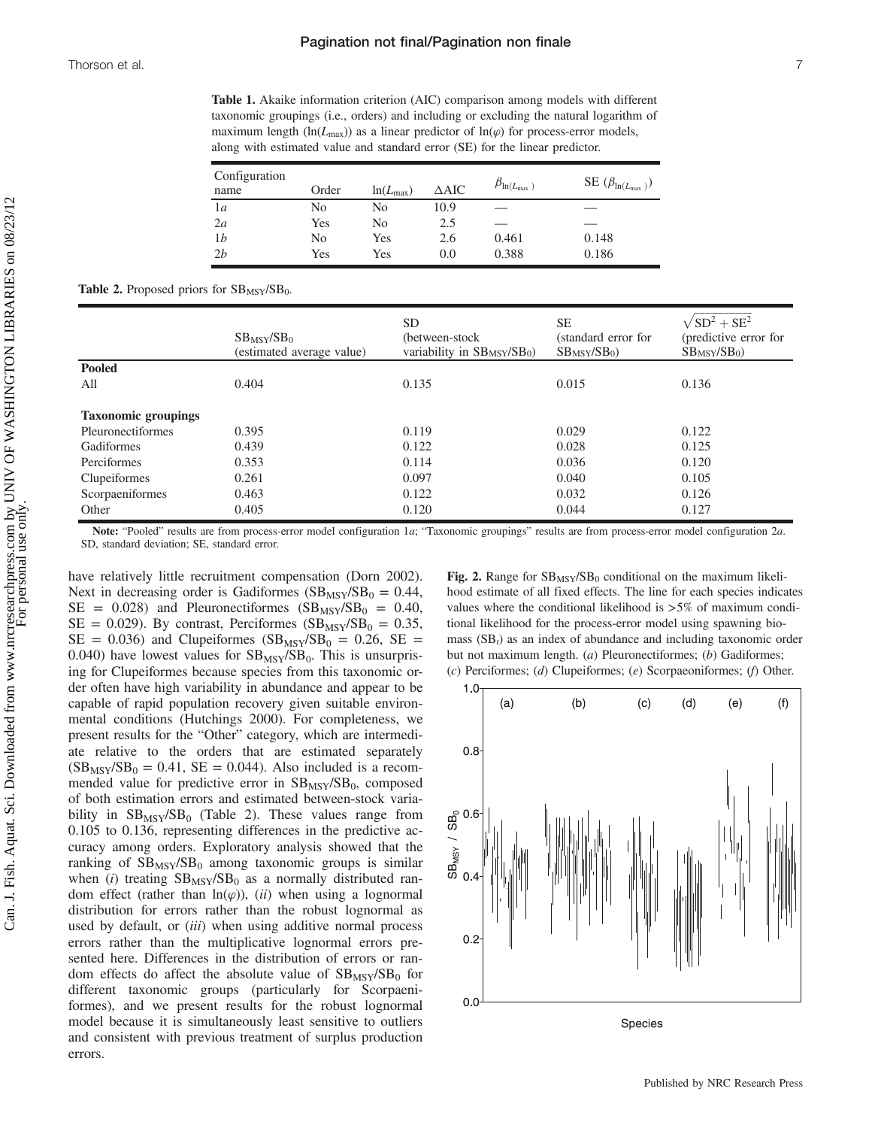Table 1. Akaike information criterion (AIC) comparison among models with different taxonomic groupings (i.e., orders) and including or excluding the natural logarithm of maximum length (ln( $L_{\text{max}}$ )) as a linear predictor of ln( $\varphi$ ) for process-error models, along with estimated value and standard error (SE) for the linear predictor.

| Configuration<br>name | Order | $ln(L_{\text{max}})$ | $\triangle AIC$ | $\beta_{\ln(L_{\rm max})}$ | SE $(\beta_{\ln(L_{\max})})$ |
|-----------------------|-------|----------------------|-----------------|----------------------------|------------------------------|
| 1a                    | No    | No                   | 10.9            |                            |                              |
| 2a                    | Yes   | No                   | 2.5             |                            |                              |
| 1b                    | No    | Yes                  | 2.6             | 0.461                      | 0.148                        |
| 2b                    | Yes   | Yes                  | 0.0             | 0.388                      | 0.186                        |

Table 2. Proposed priors for  $SB_{\rm MSY}/SB_0$ .

|                            | $SB$ <sub>MSY</sub> / $SB0$<br>(estimated average value) | <b>SD</b><br>(between-stock)<br>variability in $SB_{MSY}/SB_0$ ) | <b>SE</b><br>(standard error for<br>$SB$ <sub>MSY</sub> $\langle SB_0 \rangle$ | $\sqrt{SD^2 + SE^2}$<br>(predictive error for<br>$SB$ <sub>MSY</sub> $/SB0$ ) |
|----------------------------|----------------------------------------------------------|------------------------------------------------------------------|--------------------------------------------------------------------------------|-------------------------------------------------------------------------------|
| Pooled                     |                                                          |                                                                  |                                                                                |                                                                               |
| All                        | 0.404                                                    | 0.135                                                            | 0.015                                                                          | 0.136                                                                         |
| <b>Taxonomic groupings</b> |                                                          |                                                                  |                                                                                |                                                                               |
| Pleuronectiformes          | 0.395                                                    | 0.119                                                            | 0.029                                                                          | 0.122                                                                         |
| Gadiformes                 | 0.439                                                    | 0.122                                                            | 0.028                                                                          | 0.125                                                                         |
| Perciformes                | 0.353                                                    | 0.114                                                            | 0.036                                                                          | 0.120                                                                         |
| Clupeiformes               | 0.261                                                    | 0.097                                                            | 0.040                                                                          | 0.105                                                                         |
| Scorpaeniformes            | 0.463                                                    | 0.122                                                            | 0.032                                                                          | 0.126                                                                         |
| Other                      | 0.405                                                    | 0.120                                                            | 0.044                                                                          | 0.127                                                                         |

Note: "Pooled" results are from process-error model configuration 1a; "Taxonomic groupings" results are from process-error model configuration 2a. SD, standard deviation; SE, standard error.

have relatively little recruitment compensation (Dorn 2002). Next in decreasing order is Gadiformes  $(SB_{MSY}/SB_0 = 0.44,$  $SE = 0.028$ ) and Pleuronectiformes  $(SB_{MSY}/SB_0 = 0.40,$  $SE = 0.029$ ). By contrast, Perciformes ( $SB_{MSY}/SB_0 = 0.35$ ,  $SE = 0.036$ ) and Clupeiformes  $(SB_{MSY}/SB_0 = 0.26, SE =$ 0.040) have lowest values for  $SB_{MSY}/SB_0$ . This is unsurprising for Clupeiformes because species from this taxonomic order often have high variability in abundance and appear to be capable of rapid population recovery given suitable environmental conditions (Hutchings 2000). For completeness, we present results for the "Other" category, which are intermediate relative to the orders that are estimated separately  $(SB_{\text{MSY}}/SB_0 = 0.41, SE = 0.044)$ . Also included is a recommended value for predictive error in  $SB_{MSY}/SB_0$ , composed of both estimation errors and estimated between-stock variability in  $SB_{MSY}/SB_0$  (Table 2). These values range from 0.105 to 0.136, representing differences in the predictive accuracy among orders. Exploratory analysis showed that the ranking of  $SB_{\text{MSY}}/SB_0$  among taxonomic groups is similar when (i) treating  $SB_{MSY}/SB_0$  as a normally distributed random effect (rather than  $ln(\varphi)$ ), (*ii*) when using a lognormal distribution for errors rather than the robust lognormal as used by default, or *(iii)* when using additive normal process errors rather than the multiplicative lognormal errors presented here. Differences in the distribution of errors or random effects do affect the absolute value of  $SB_{MSY}/SB_0$  for different taxonomic groups (particularly for Scorpaeniformes), and we present results for the robust lognormal model because it is simultaneously least sensitive to outliers and consistent with previous treatment of surplus production errors.

Fig. 2. Range for  $SB_{MSY}/SB_0$  conditional on the maximum likelihood estimate of all fixed effects. The line for each species indicates values where the conditional likelihood is >5% of maximum conditional likelihood for the process-error model using spawning biomass  $(SB_t)$  as an index of abundance and including taxonomic order but not maximum length.  $(a)$  Pleuronectiformes;  $(b)$  Gadiformes; (c) Perciformes; (d) Clupeiformes; (e) Scorpaeoniformes; (f) Other.



Species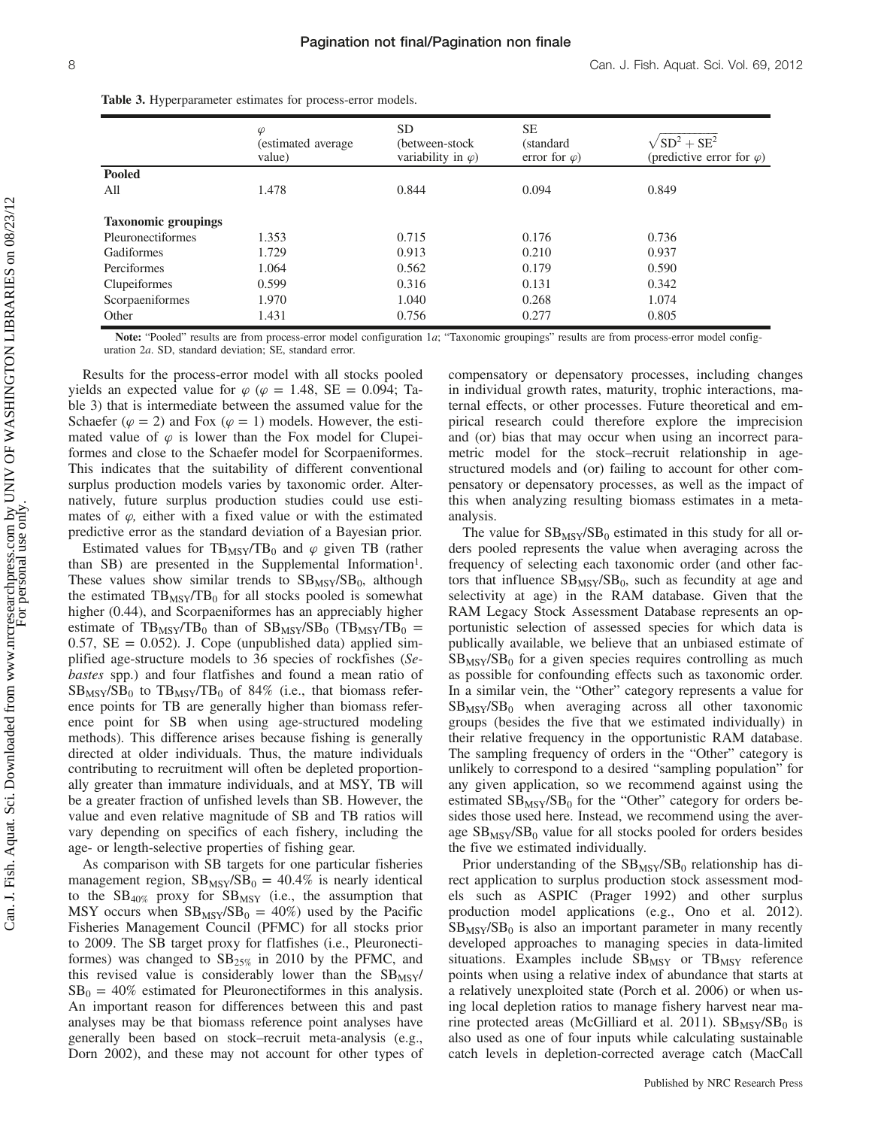|                            | $\varphi$<br>(estimated average)<br>value) | <b>SD</b><br>(between-stock)<br>variability in $\varphi$ ) | <b>SE</b><br>(standard<br>error for $\varphi$ ) | $\sqrt{SD^2 + SE^2}$<br>(predictive error for $\varphi$ ) |
|----------------------------|--------------------------------------------|------------------------------------------------------------|-------------------------------------------------|-----------------------------------------------------------|
| <b>Pooled</b>              |                                            |                                                            |                                                 |                                                           |
| All                        | 1.478                                      | 0.844                                                      | 0.094                                           | 0.849                                                     |
| <b>Taxonomic groupings</b> |                                            |                                                            |                                                 |                                                           |
| Pleuronectiformes          | 1.353                                      | 0.715                                                      | 0.176                                           | 0.736                                                     |
| Gadiformes                 | 1.729                                      | 0.913                                                      | 0.210                                           | 0.937                                                     |
| Perciformes                | 1.064                                      | 0.562                                                      | 0.179                                           | 0.590                                                     |
| Clupeiformes               | 0.599                                      | 0.316                                                      | 0.131                                           | 0.342                                                     |
| Scorpaeniformes            | 1.970                                      | 1.040                                                      | 0.268                                           | 1.074                                                     |
| Other                      | 1.431                                      | 0.756                                                      | 0.277                                           | 0.805                                                     |

Table 3. Hyperparameter estimates for process-error models.

Note: "Pooled" results are from process-error model configuration 1a; "Taxonomic groupings" results are from process-error model configuration 2a. SD, standard deviation; SE, standard error.

Results for the process-error model with all stocks pooled yields an expected value for  $\varphi$  ( $\varphi$  = 1.48, SE = 0.094; Table 3) that is intermediate between the assumed value for the Schaefer ( $\varphi = 2$ ) and Fox ( $\varphi = 1$ ) models. However, the estimated value of  $\varphi$  is lower than the Fox model for Clupeiformes and close to the Schaefer model for Scorpaeniformes. This indicates that the suitability of different conventional surplus production models varies by taxonomic order. Alternatively, future surplus production studies could use estimates of  $\varphi$ , either with a fixed value or with the estimated predictive error as the standard deviation of a Bayesian prior.

Estimated values for  $TB_{MSY}/TB_0$  and  $\varphi$  given TB (rather than SB) are presented in the Supplemental Information<sup>1</sup>. These values show similar trends to  $SB_{MSY}/SB_0$ , although the estimated  $TB_{MSY}/TB_0$  for all stocks pooled is somewhat higher (0.44), and Scorpaeniformes has an appreciably higher estimate of  $TB_{MSY}/TB_0$  than of  $SB_{MSY}/SB_0$  ( $TB_{MSY}/TB_0$  = 0.57,  $SE = 0.052$ ). J. Cope (unpublished data) applied simplified age-structure models to 36 species of rockfishes (Sebastes spp.) and four flatfishes and found a mean ratio of  $SB_{MSY}/SB_0$  to  $TB_{MSY}/TB_0$  of 84% (i.e., that biomass reference points for TB are generally higher than biomass reference point for SB when using age-structured modeling methods). This difference arises because fishing is generally directed at older individuals. Thus, the mature individuals contributing to recruitment will often be depleted proportionally greater than immature individuals, and at MSY, TB will be a greater fraction of unfished levels than SB. However, the value and even relative magnitude of SB and TB ratios will vary depending on specifics of each fishery, including the age- or length-selective properties of fishing gear.

As comparison with SB targets for one particular fisheries management region,  $SB_{\text{MSY}}/SB_0 = 40.4\%$  is nearly identical to the  $SB_{40\%}$  proxy for  $SB_{MSY}$  (i.e., the assumption that MSY occurs when  $SB_{MSY}/SB_0 = 40\%$  used by the Pacific Fisheries Management Council (PFMC) for all stocks prior to 2009. The SB target proxy for flatfishes (i.e., Pleuronectiformes) was changed to  $SB_{25\%}$  in 2010 by the PFMC, and this revised value is considerably lower than the  $SB_{MSY}$  $SB<sub>0</sub> = 40\%$  estimated for Pleuronectiformes in this analysis. An important reason for differences between this and past analyses may be that biomass reference point analyses have generally been based on stock–recruit meta-analysis (e.g., Dorn 2002), and these may not account for other types of compensatory or depensatory processes, including changes in individual growth rates, maturity, trophic interactions, maternal effects, or other processes. Future theoretical and empirical research could therefore explore the imprecision and (or) bias that may occur when using an incorrect parametric model for the stock–recruit relationship in agestructured models and (or) failing to account for other compensatory or depensatory processes, as well as the impact of this when analyzing resulting biomass estimates in a metaanalysis.

The value for  $SB_{\rm MSY}/SB_0$  estimated in this study for all orders pooled represents the value when averaging across the frequency of selecting each taxonomic order (and other factors that influence  $SB_{MSY}/SB_0$ , such as fecundity at age and selectivity at age) in the RAM database. Given that the RAM Legacy Stock Assessment Database represents an opportunistic selection of assessed species for which data is publically available, we believe that an unbiased estimate of  $SB<sub>MSY</sub>/SB<sub>0</sub>$  for a given species requires controlling as much as possible for confounding effects such as taxonomic order. In a similar vein, the "Other" category represents a value for  $SB<sub>MSY</sub>/SB<sub>0</sub>$  when averaging across all other taxonomic groups (besides the five that we estimated individually) in their relative frequency in the opportunistic RAM database. The sampling frequency of orders in the "Other" category is unlikely to correspond to a desired "sampling population" for any given application, so we recommend against using the estimated  $SB_{MSY}/SB_0$  for the "Other" category for orders besides those used here. Instead, we recommend using the average  $SB_{MSY}/SB_0$  value for all stocks pooled for orders besides the five we estimated individually.

Prior understanding of the  $SB_{MSY}/SB_0$  relationship has direct application to surplus production stock assessment models such as ASPIC (Prager 1992) and other surplus production model applications (e.g., Ono et al. 2012).  $SB<sub>MSY</sub>/SB<sub>0</sub>$  is also an important parameter in many recently developed approaches to managing species in data-limited situations. Examples include  $SB_{MSY}$  or  $TB_{MSY}$  reference points when using a relative index of abundance that starts at a relatively unexploited state (Porch et al. 2006) or when using local depletion ratios to manage fishery harvest near marine protected areas (McGilliard et al. 2011).  $SB_{MSY}/SB_0$  is also used as one of four inputs while calculating sustainable catch levels in depletion-corrected average catch (MacCall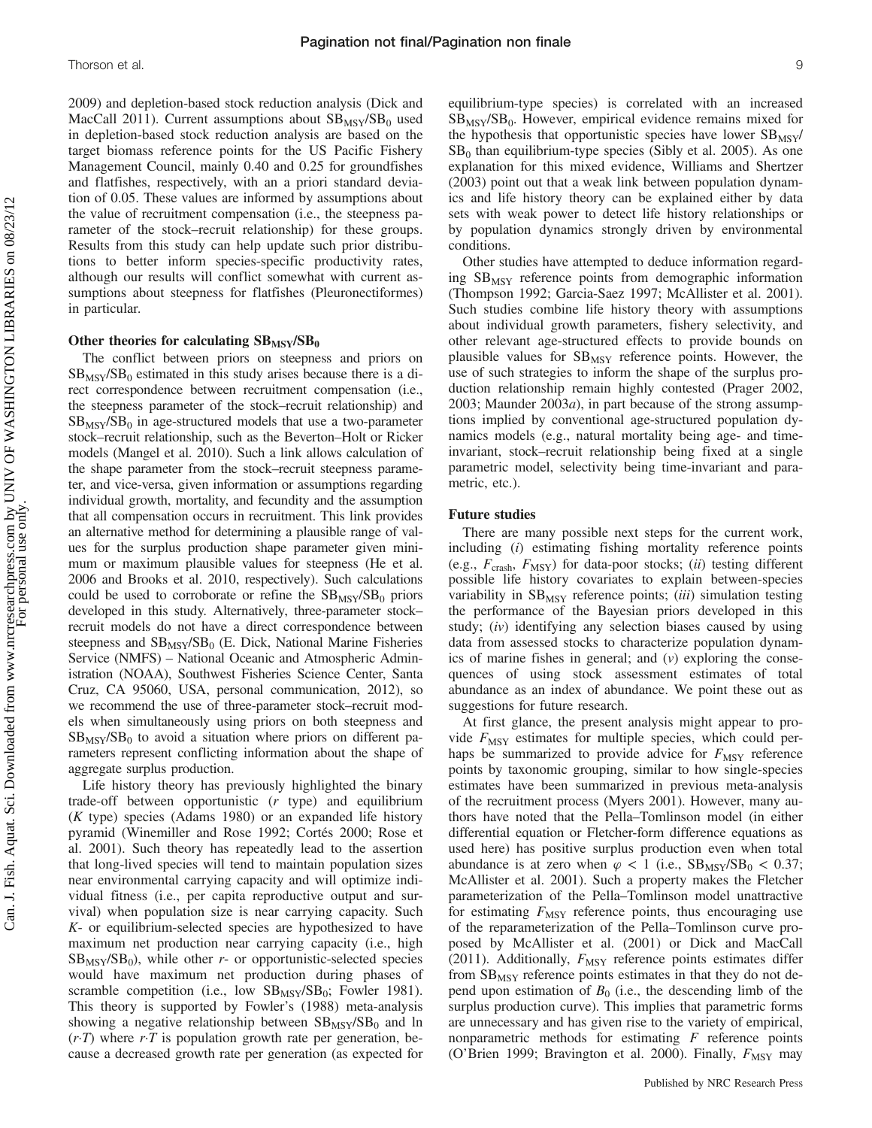2009) and depletion-based stock reduction analysis (Dick and MacCall 2011). Current assumptions about  $SB_{MSY}/SB_0$  used in depletion-based stock reduction analysis are based on the target biomass reference points for the US Pacific Fishery Management Council, mainly 0.40 and 0.25 for groundfishes and flatfishes, respectively, with an a priori standard deviation of 0.05. These values are informed by assumptions about the value of recruitment compensation (i.e., the steepness parameter of the stock–recruit relationship) for these groups. Results from this study can help update such prior distributions to better inform species-specific productivity rates, although our results will conflict somewhat with current assumptions about steepness for flatfishes (Pleuronectiformes) in particular.

## Other theories for calculating  $SB_{MSY}/SB_0$

The conflict between priors on steepness and priors on  $SB<sub>MSY</sub>/SB<sub>0</sub>$  estimated in this study arises because there is a direct correspondence between recruitment compensation (i.e., the steepness parameter of the stock–recruit relationship) and  $SB<sub>MSY</sub>/SB<sub>0</sub>$  in age-structured models that use a two-parameter stock–recruit relationship, such as the Beverton–Holt or Ricker models (Mangel et al. 2010). Such a link allows calculation of the shape parameter from the stock–recruit steepness parameter, and vice-versa, given information or assumptions regarding individual growth, mortality, and fecundity and the assumption that all compensation occurs in recruitment. This link provides an alternative method for determining a plausible range of values for the surplus production shape parameter given minimum or maximum plausible values for steepness (He et al. 2006 and Brooks et al. 2010, respectively). Such calculations could be used to corroborate or refine the  $SB_{MSY}/SB_0$  priors developed in this study. Alternatively, three-parameter stock– recruit models do not have a direct correspondence between steepness and  $SB_{MSY}/SB_0$  (E. Dick, National Marine Fisheries Service (NMFS) – National Oceanic and Atmospheric Administration (NOAA), Southwest Fisheries Science Center, Santa Cruz, CA 95060, USA, personal communication, 2012), so we recommend the use of three-parameter stock–recruit models when simultaneously using priors on both steepness and  $SB<sub>MSY</sub>/SB<sub>0</sub>$  to avoid a situation where priors on different parameters represent conflicting information about the shape of aggregate surplus production.

Life history theory has previously highlighted the binary trade-off between opportunistic (r type) and equilibrium  $(K$  type) species (Adams 1980) or an expanded life history pyramid (Winemiller and Rose 1992; Cortés 2000; Rose et al. 2001). Such theory has repeatedly lead to the assertion that long-lived species will tend to maintain population sizes near environmental carrying capacity and will optimize individual fitness (i.e., per capita reproductive output and survival) when population size is near carrying capacity. Such K- or equilibrium-selected species are hypothesized to have maximum net production near carrying capacity (i.e., high  $SB_{\rm MSY}/SB_0$ ), while other r- or opportunistic-selected species would have maximum net production during phases of scramble competition (i.e., low  $SB_{MSY}/SB_0$ ; Fowler 1981). This theory is supported by Fowler's (1988) meta-analysis showing a negative relationship between  $SB_{MSY}/SB_0$  and ln  $(r \cdot T)$  where  $r \cdot T$  is population growth rate per generation, because a decreased growth rate per generation (as expected for equilibrium-type species) is correlated with an increased  $SB<sub>MSY</sub>/SB<sub>0</sub>$ . However, empirical evidence remains mixed for the hypothesis that opportunistic species have lower  $SB_{MSY}$  $SB<sub>0</sub>$  than equilibrium-type species (Sibly et al. 2005). As one explanation for this mixed evidence, Williams and Shertzer (2003) point out that a weak link between population dynamics and life history theory can be explained either by data sets with weak power to detect life history relationships or by population dynamics strongly driven by environmental conditions.

Other studies have attempted to deduce information regarding SB<sub>MSY</sub> reference points from demographic information (Thompson 1992; Garcia-Saez 1997; McAllister et al. 2001). Such studies combine life history theory with assumptions about individual growth parameters, fishery selectivity, and other relevant age-structured effects to provide bounds on plausible values for  $SB_{MSY}$  reference points. However, the use of such strategies to inform the shape of the surplus production relationship remain highly contested (Prager 2002, 2003; Maunder 2003a), in part because of the strong assumptions implied by conventional age-structured population dynamics models (e.g., natural mortality being age- and timeinvariant, stock–recruit relationship being fixed at a single parametric model, selectivity being time-invariant and parametric, etc.).

#### Future studies

There are many possible next steps for the current work, including (i) estimating fishing mortality reference points (e.g.,  $F_{\text{crash}}$ ,  $F_{\text{MSY}}$ ) for data-poor stocks; (ii) testing different possible life history covariates to explain between-species variability in  $SB_{MSY}$  reference points; *(iii)* simulation testing the performance of the Bayesian priors developed in this study; (iv) identifying any selection biases caused by using data from assessed stocks to characterize population dynamics of marine fishes in general; and  $(v)$  exploring the consequences of using stock assessment estimates of total abundance as an index of abundance. We point these out as suggestions for future research.

At first glance, the present analysis might appear to provide  $F_{\text{MSY}}$  estimates for multiple species, which could perhaps be summarized to provide advice for  $F_{\text{MSY}}$  reference points by taxonomic grouping, similar to how single-species estimates have been summarized in previous meta-analysis of the recruitment process (Myers 2001). However, many authors have noted that the Pella–Tomlinson model (in either differential equation or Fletcher-form difference equations as used here) has positive surplus production even when total abundance is at zero when  $\varphi$  < 1 (i.e.,  $SB_{\text{MSY}}/SB_0$  < 0.37; McAllister et al. 2001). Such a property makes the Fletcher parameterization of the Pella–Tomlinson model unattractive for estimating  $F_{\text{MSY}}$  reference points, thus encouraging use of the reparameterization of the Pella–Tomlinson curve proposed by McAllister et al. (2001) or Dick and MacCall (2011). Additionally,  $F_{\text{MSY}}$  reference points estimates differ from  $SB_{MSY}$  reference points estimates in that they do not depend upon estimation of  $B_0$  (i.e., the descending limb of the surplus production curve). This implies that parametric forms are unnecessary and has given rise to the variety of empirical, nonparametric methods for estimating  $F$  reference points (O'Brien 1999; Bravington et al. 2000). Finally,  $F_{\text{MSY}}$  may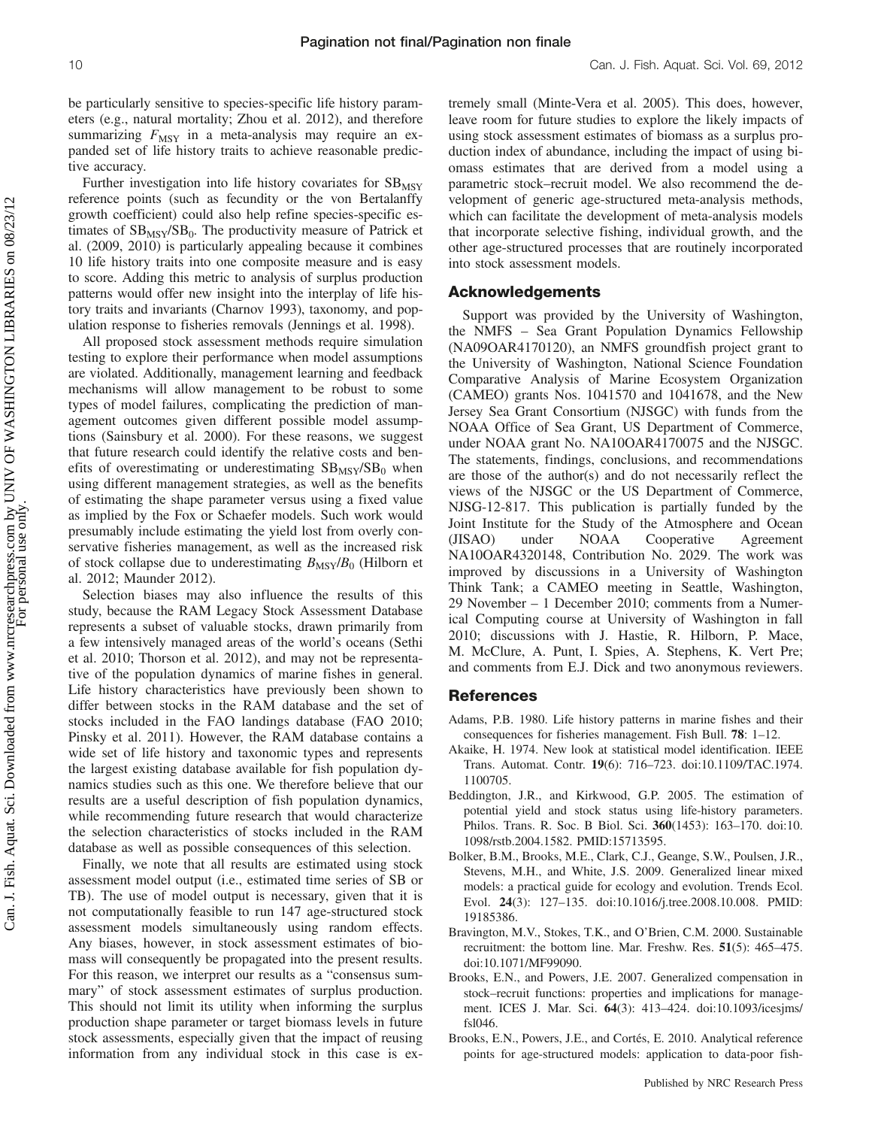be particularly sensitive to species-specific life history parameters (e.g., natural mortality; Zhou et al. 2012), and therefore summarizing  $F_{\text{MSY}}$  in a meta-analysis may require an expanded set of life history traits to achieve reasonable predictive accuracy.

Further investigation into life history covariates for  $SB<sub>MSY</sub>$ reference points (such as fecundity or the von Bertalanffy growth coefficient) could also help refine species-specific estimates of  $SB_{MSY}/SB_0$ . The productivity measure of Patrick et al. (2009, 2010) is particularly appealing because it combines 10 life history traits into one composite measure and is easy to score. Adding this metric to analysis of surplus production patterns would offer new insight into the interplay of life history traits and invariants (Charnov 1993), taxonomy, and population response to fisheries removals (Jennings et al. 1998).

All proposed stock assessment methods require simulation testing to explore their performance when model assumptions are violated. Additionally, management learning and feedback mechanisms will allow management to be robust to some types of model failures, complicating the prediction of management outcomes given different possible model assumptions (Sainsbury et al. 2000). For these reasons, we suggest that future research could identify the relative costs and benefits of overestimating or underestimating  $SB_{MSY}/SB_0$  when using different management strategies, as well as the benefits of estimating the shape parameter versus using a fixed value as implied by the Fox or Schaefer models. Such work would presumably include estimating the yield lost from overly conservative fisheries management, as well as the increased risk of stock collapse due to underestimating  $B_{\text{MSY}}/B_0$  (Hilborn et al. 2012; Maunder 2012).

Selection biases may also influence the results of this study, because the RAM Legacy Stock Assessment Database represents a subset of valuable stocks, drawn primarily from a few intensively managed areas of the world's oceans (Sethi et al. 2010; Thorson et al. 2012), and may not be representative of the population dynamics of marine fishes in general. Life history characteristics have previously been shown to differ between stocks in the RAM database and the set of stocks included in the FAO landings database (FAO 2010; Pinsky et al. 2011). However, the RAM database contains a wide set of life history and taxonomic types and represents the largest existing database available for fish population dynamics studies such as this one. We therefore believe that our results are a useful description of fish population dynamics, while recommending future research that would characterize the selection characteristics of stocks included in the RAM database as well as possible consequences of this selection.

Finally, we note that all results are estimated using stock assessment model output (i.e., estimated time series of SB or TB). The use of model output is necessary, given that it is not computationally feasible to run 147 age-structured stock assessment models simultaneously using random effects. Any biases, however, in stock assessment estimates of biomass will consequently be propagated into the present results. For this reason, we interpret our results as a "consensus summary" of stock assessment estimates of surplus production. This should not limit its utility when informing the surplus production shape parameter or target biomass levels in future stock assessments, especially given that the impact of reusing information from any individual stock in this case is extremely small (Minte-Vera et al. 2005). This does, however, leave room for future studies to explore the likely impacts of using stock assessment estimates of biomass as a surplus production index of abundance, including the impact of using biomass estimates that are derived from a model using a parametric stock–recruit model. We also recommend the development of generic age-structured meta-analysis methods, which can facilitate the development of meta-analysis models that incorporate selective fishing, individual growth, and the other age-structured processes that are routinely incorporated into stock assessment models.

#### Acknowledgements

Support was provided by the University of Washington, the NMFS – Sea Grant Population Dynamics Fellowship (NA09OAR4170120), an NMFS groundfish project grant to the University of Washington, National Science Foundation Comparative Analysis of Marine Ecosystem Organization (CAMEO) grants Nos. 1041570 and 1041678, and the New Jersey Sea Grant Consortium (NJSGC) with funds from the NOAA Office of Sea Grant, US Department of Commerce, under NOAA grant No. NA10OAR4170075 and the NJSGC. The statements, findings, conclusions, and recommendations are those of the author(s) and do not necessarily reflect the views of the NJSGC or the US Department of Commerce, NJSG-12-817. This publication is partially funded by the Joint Institute for the Study of the Atmosphere and Ocean (JISAO) under NOAA Cooperative Agreement NA10OAR4320148, Contribution No. 2029. The work was improved by discussions in a University of Washington Think Tank; a CAMEO meeting in Seattle, Washington, 29 November – 1 December 2010; comments from a Numerical Computing course at University of Washington in fall 2010; discussions with J. Hastie, R. Hilborn, P. Mace, M. McClure, A. Punt, I. Spies, A. Stephens, K. Vert Pre; and comments from E.J. Dick and two anonymous reviewers.

## References

- Adams, P.B. 1980. Life history patterns in marine fishes and their consequences for fisheries management. Fish Bull. 78: 1–12.
- Akaike, H. 1974. New look at statistical model identification. IEEE Trans. Automat. Contr. 19(6): 716–723. doi:10.1109/TAC.1974. 1100705.
- Beddington, J.R., and Kirkwood, G.P. 2005. The estimation of potential yield and stock status using life-history parameters. Philos. Trans. R. Soc. B Biol. Sci. 360(1453): 163–170. doi:10. 1098/rstb.2004.1582. PMID:15713595.
- Bolker, B.M., Brooks, M.E., Clark, C.J., Geange, S.W., Poulsen, J.R., Stevens, M.H., and White, J.S. 2009. Generalized linear mixed models: a practical guide for ecology and evolution. Trends Ecol. Evol. 24(3): 127–135. doi:10.1016/j.tree.2008.10.008. PMID: 19185386.
- Bravington, M.V., Stokes, T.K., and O'Brien, C.M. 2000. Sustainable recruitment: the bottom line. Mar. Freshw. Res. 51(5): 465–475. doi:10.1071/MF99090.
- Brooks, E.N., and Powers, J.E. 2007. Generalized compensation in stock–recruit functions: properties and implications for management. ICES J. Mar. Sci. 64(3): 413–424. doi:10.1093/icesjms/ fsl046.
- Brooks, E.N., Powers, J.E., and Cortés, E. 2010. Analytical reference points for age-structured models: application to data-poor fish-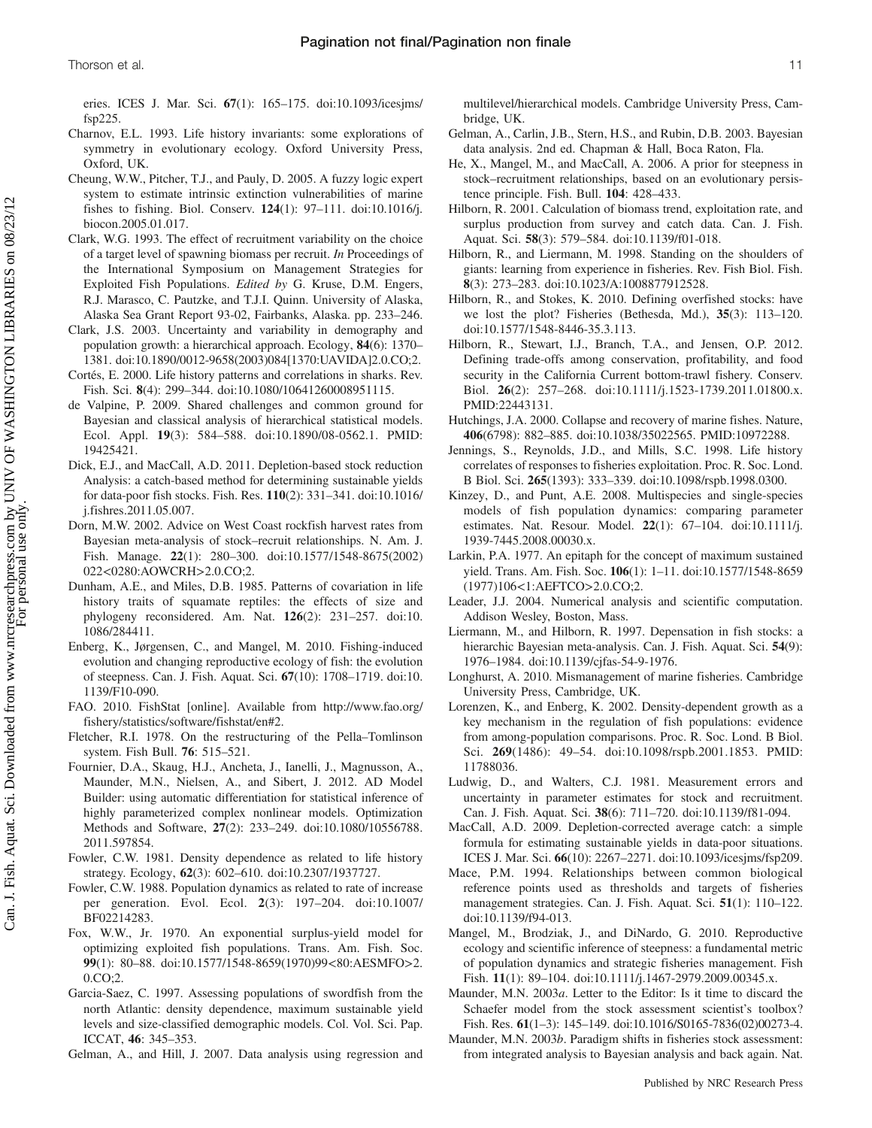eries. ICES J. Mar. Sci. 67(1): 165–175. doi:10.1093/icesjms/ fsp225.

- Charnov, E.L. 1993. Life history invariants: some explorations of symmetry in evolutionary ecology. Oxford University Press, Oxford, UK.
- Cheung, W.W., Pitcher, T.J., and Pauly, D. 2005. A fuzzy logic expert system to estimate intrinsic extinction vulnerabilities of marine fishes to fishing. Biol. Conserv. 124(1): 97–111. doi:10.1016/j. biocon.2005.01.017.
- Clark, W.G. 1993. The effect of recruitment variability on the choice of a target level of spawning biomass per recruit. In Proceedings of the International Symposium on Management Strategies for Exploited Fish Populations. Edited by G. Kruse, D.M. Engers, R.J. Marasco, C. Pautzke, and T.J.I. Quinn. University of Alaska, Alaska Sea Grant Report 93-02, Fairbanks, Alaska. pp. 233–246.
- Clark, J.S. 2003. Uncertainty and variability in demography and population growth: a hierarchical approach. Ecology, 84(6): 1370– 1381. doi:10.1890/0012-9658(2003)084[1370:UAVIDA]2.0.CO;2.
- Cortés, E. 2000. Life history patterns and correlations in sharks. Rev. Fish. Sci. 8(4): 299–344. doi:10.1080/10641260008951115.
- de Valpine, P. 2009. Shared challenges and common ground for Bayesian and classical analysis of hierarchical statistical models. Ecol. Appl. 19(3): 584–588. doi:10.1890/08-0562.1. PMID: 19425421.
- Dick, E.J., and MacCall, A.D. 2011. Depletion-based stock reduction Analysis: a catch-based method for determining sustainable yields for data-poor fish stocks. Fish. Res. 110(2): 331–341. doi:10.1016/ j.fishres.2011.05.007.
- Dorn, M.W. 2002. Advice on West Coast rockfish harvest rates from Bayesian meta-analysis of stock–recruit relationships. N. Am. J. Fish. Manage. 22(1): 280–300. doi:10.1577/1548-8675(2002) 022<0280:AOWCRH>2.0.CO;2.
- Dunham, A.E., and Miles, D.B. 1985. Patterns of covariation in life history traits of squamate reptiles: the effects of size and phylogeny reconsidered. Am. Nat. 126(2): 231–257. doi:10. 1086/284411.
- Enberg, K., Jørgensen, C., and Mangel, M. 2010. Fishing-induced evolution and changing reproductive ecology of fish: the evolution of steepness. Can. J. Fish. Aquat. Sci. 67(10): 1708–1719. doi:10. 1139/F10-090.
- FAO. 2010. FishStat [online]. Available from http://www.fao.org/ fishery/statistics/software/fishstat/en#2.
- Fletcher, R.I. 1978. On the restructuring of the Pella–Tomlinson system. Fish Bull. 76: 515–521.
- Fournier, D.A., Skaug, H.J., Ancheta, J., Ianelli, J., Magnusson, A., Maunder, M.N., Nielsen, A., and Sibert, J. 2012. AD Model Builder: using automatic differentiation for statistical inference of highly parameterized complex nonlinear models. Optimization Methods and Software, 27(2): 233–249. doi:10.1080/10556788. 2011.597854.
- Fowler, C.W. 1981. Density dependence as related to life history strategy. Ecology, 62(3): 602–610. doi:10.2307/1937727.
- Fowler, C.W. 1988. Population dynamics as related to rate of increase per generation. Evol. Ecol. 2(3): 197–204. doi:10.1007/ BF02214283.
- Fox, W.W., Jr. 1970. An exponential surplus-yield model for optimizing exploited fish populations. Trans. Am. Fish. Soc. 99(1): 80–88. doi:10.1577/1548-8659(1970)99<80:AESMFO>2. 0.CO;2.
- Garcia-Saez, C. 1997. Assessing populations of swordfish from the north Atlantic: density dependence, maximum sustainable yield levels and size-classified demographic models. Col. Vol. Sci. Pap. ICCAT, 46: 345–353.
- Gelman, A., and Hill, J. 2007. Data analysis using regression and

multilevel/hierarchical models. Cambridge University Press, Cambridge, UK.

- Gelman, A., Carlin, J.B., Stern, H.S., and Rubin, D.B. 2003. Bayesian data analysis. 2nd ed. Chapman & Hall, Boca Raton, Fla.
- He, X., Mangel, M., and MacCall, A. 2006. A prior for steepness in stock–recruitment relationships, based on an evolutionary persistence principle. Fish. Bull. 104: 428–433.
- Hilborn, R. 2001. Calculation of biomass trend, exploitation rate, and surplus production from survey and catch data. Can. J. Fish. Aquat. Sci. 58(3): 579–584. doi:10.1139/f01-018.
- Hilborn, R., and Liermann, M. 1998. Standing on the shoulders of giants: learning from experience in fisheries. Rev. Fish Biol. Fish. 8(3): 273–283. doi:10.1023/A:1008877912528.
- Hilborn, R., and Stokes, K. 2010. Defining overfished stocks: have we lost the plot? Fisheries (Bethesda, Md.), 35(3): 113–120. doi:10.1577/1548-8446-35.3.113.
- Hilborn, R., Stewart, I.J., Branch, T.A., and Jensen, O.P. 2012. Defining trade-offs among conservation, profitability, and food security in the California Current bottom-trawl fishery. Conserv. Biol. 26(2): 257–268. doi:10.1111/j.1523-1739.2011.01800.x. PMID:22443131.
- Hutchings, J.A. 2000. Collapse and recovery of marine fishes. Nature, 406(6798): 882–885. doi:10.1038/35022565. PMID:10972288.
- Jennings, S., Reynolds, J.D., and Mills, S.C. 1998. Life history correlates of responses to fisheries exploitation. Proc. R. Soc. Lond. B Biol. Sci. 265(1393): 333–339. doi:10.1098/rspb.1998.0300.
- Kinzey, D., and Punt, A.E. 2008. Multispecies and single-species models of fish population dynamics: comparing parameter estimates. Nat. Resour. Model. 22(1): 67–104. doi:10.1111/j. 1939-7445.2008.00030.x.
- Larkin, P.A. 1977. An epitaph for the concept of maximum sustained yield. Trans. Am. Fish. Soc. 106(1): 1–11. doi:10.1577/1548-8659 (1977)106<1:AEFTCO>2.0.CO;2.
- Leader, J.J. 2004. Numerical analysis and scientific computation. Addison Wesley, Boston, Mass.
- Liermann, M., and Hilborn, R. 1997. Depensation in fish stocks: a hierarchic Bayesian meta-analysis. Can. J. Fish. Aquat. Sci. 54(9): 1976–1984. doi:10.1139/cjfas-54-9-1976.
- Longhurst, A. 2010. Mismanagement of marine fisheries. Cambridge University Press, Cambridge, UK.
- Lorenzen, K., and Enberg, K. 2002. Density-dependent growth as a key mechanism in the regulation of fish populations: evidence from among-population comparisons. Proc. R. Soc. Lond. B Biol. Sci. 269(1486): 49–54. doi:10.1098/rspb.2001.1853. PMID: 11788036.
- Ludwig, D., and Walters, C.J. 1981. Measurement errors and uncertainty in parameter estimates for stock and recruitment. Can. J. Fish. Aquat. Sci. 38(6): 711–720. doi:10.1139/f81-094.
- MacCall, A.D. 2009. Depletion-corrected average catch: a simple formula for estimating sustainable yields in data-poor situations. ICES J. Mar. Sci. 66(10): 2267–2271. doi:10.1093/icesjms/fsp209.
- Mace, P.M. 1994. Relationships between common biological reference points used as thresholds and targets of fisheries management strategies. Can. J. Fish. Aquat. Sci. 51(1): 110–122. doi:10.1139/f94-013.
- Mangel, M., Brodziak, J., and DiNardo, G. 2010. Reproductive ecology and scientific inference of steepness: a fundamental metric of population dynamics and strategic fisheries management. Fish Fish. 11(1): 89–104. doi:10.1111/j.1467-2979.2009.00345.x.
- Maunder, M.N. 2003a. Letter to the Editor: Is it time to discard the Schaefer model from the stock assessment scientist's toolbox? Fish. Res. 61(1–3): 145–149. doi:10.1016/S0165-7836(02)00273-4.
- Maunder, M.N. 2003b. Paradigm shifts in fisheries stock assessment: from integrated analysis to Bayesian analysis and back again. Nat.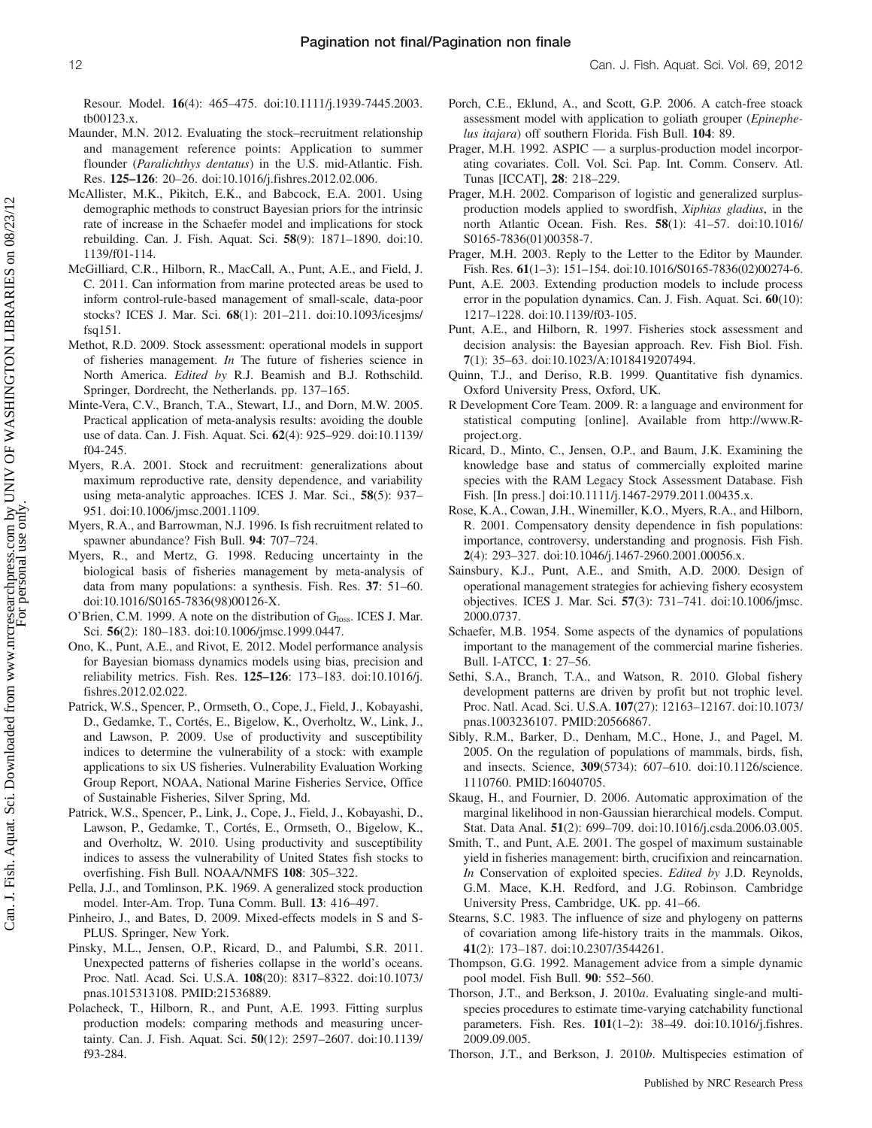Resour. Model. 16(4): 465–475. doi:10.1111/j.1939-7445.2003. tb00123.x.

- Maunder, M.N. 2012. Evaluating the stock–recruitment relationship and management reference points: Application to summer flounder (Paralichthys dentatus) in the U.S. mid-Atlantic. Fish. Res. 125–126: 20–26. doi:10.1016/j.fishres.2012.02.006.
- McAllister, M.K., Pikitch, E.K., and Babcock, E.A. 2001. Using demographic methods to construct Bayesian priors for the intrinsic rate of increase in the Schaefer model and implications for stock rebuilding. Can. J. Fish. Aquat. Sci. 58(9): 1871–1890. doi:10. 1139/f01-114.
- McGilliard, C.R., Hilborn, R., MacCall, A., Punt, A.E., and Field, J. C. 2011. Can information from marine protected areas be used to inform control-rule-based management of small-scale, data-poor stocks? ICES J. Mar. Sci. 68(1): 201–211. doi:10.1093/icesjms/ fsq151.
- Methot, R.D. 2009. Stock assessment: operational models in support of fisheries management. In The future of fisheries science in North America. Edited by R.J. Beamish and B.J. Rothschild. Springer, Dordrecht, the Netherlands. pp. 137–165.
- Minte-Vera, C.V., Branch, T.A., Stewart, I.J., and Dorn, M.W. 2005. Practical application of meta-analysis results: avoiding the double use of data. Can. J. Fish. Aquat. Sci. 62(4): 925–929. doi:10.1139/ f04-245.
- Myers, R.A. 2001. Stock and recruitment: generalizations about maximum reproductive rate, density dependence, and variability using meta-analytic approaches. ICES J. Mar. Sci., 58(5): 937– 951. doi:10.1006/jmsc.2001.1109.
- Myers, R.A., and Barrowman, N.J. 1996. Is fish recruitment related to spawner abundance? Fish Bull. 94: 707–724.
- Myers, R., and Mertz, G. 1998. Reducing uncertainty in the biological basis of fisheries management by meta-analysis of data from many populations: a synthesis. Fish. Res. 37: 51–60. doi:10.1016/S0165-7836(98)00126-X.
- O'Brien, C.M. 1999. A note on the distribution of G<sub>loss</sub>. ICES J. Mar. Sci. 56(2): 180–183. doi:10.1006/jmsc.1999.0447.
- Ono, K., Punt, A.E., and Rivot, E. 2012. Model performance analysis for Bayesian biomass dynamics models using bias, precision and reliability metrics. Fish. Res. 125–126: 173–183. doi:10.1016/j. fishres.2012.02.022.
- Patrick, W.S., Spencer, P., Ormseth, O., Cope, J., Field, J., Kobayashi, D., Gedamke, T., Cortés, E., Bigelow, K., Overholtz, W., Link, J., and Lawson, P. 2009. Use of productivity and susceptibility indices to determine the vulnerability of a stock: with example applications to six US fisheries. Vulnerability Evaluation Working Group Report, NOAA, National Marine Fisheries Service, Office of Sustainable Fisheries, Silver Spring, Md.
- Patrick, W.S., Spencer, P., Link, J., Cope, J., Field, J., Kobayashi, D., Lawson, P., Gedamke, T., Cortés, E., Ormseth, O., Bigelow, K., and Overholtz, W. 2010. Using productivity and susceptibility indices to assess the vulnerability of United States fish stocks to overfishing. Fish Bull. NOAA/NMFS 108: 305–322.
- Pella, J.J., and Tomlinson, P.K. 1969. A generalized stock production model. Inter-Am. Trop. Tuna Comm. Bull. 13: 416–497.
- Pinheiro, J., and Bates, D. 2009. Mixed-effects models in S and S-PLUS. Springer, New York.
- Pinsky, M.L., Jensen, O.P., Ricard, D., and Palumbi, S.R. 2011. Unexpected patterns of fisheries collapse in the world's oceans. Proc. Natl. Acad. Sci. U.S.A. 108(20): 8317–8322. doi:10.1073/ pnas.1015313108. PMID:21536889.
- Polacheck, T., Hilborn, R., and Punt, A.E. 1993. Fitting surplus production models: comparing methods and measuring uncertainty. Can. J. Fish. Aquat. Sci. 50(12): 2597–2607. doi:10.1139/ f93-284.
- Porch, C.E., Eklund, A., and Scott, G.P. 2006. A catch-free stoack assessment model with application to goliath grouper (Epinephelus itajara) off southern Florida. Fish Bull. 104: 89.
- Prager, M.H. 1992. ASPIC a surplus-production model incorporating covariates. Coll. Vol. Sci. Pap. Int. Comm. Conserv. Atl. Tunas [ICCAT], 28: 218–229.
- Prager, M.H. 2002. Comparison of logistic and generalized surplusproduction models applied to swordfish, Xiphias gladius, in the north Atlantic Ocean. Fish. Res. 58(1): 41–57. doi:10.1016/ S0165-7836(01)00358-7.
- Prager, M.H. 2003. Reply to the Letter to the Editor by Maunder. Fish. Res. 61(1–3): 151–154. doi:10.1016/S0165-7836(02)00274-6.
- Punt, A.E. 2003. Extending production models to include process error in the population dynamics. Can. J. Fish. Aquat. Sci. 60(10): 1217–1228. doi:10.1139/f03-105.
- Punt, A.E., and Hilborn, R. 1997. Fisheries stock assessment and decision analysis: the Bayesian approach. Rev. Fish Biol. Fish. 7(1): 35–63. doi:10.1023/A:1018419207494.
- Quinn, T.J., and Deriso, R.B. 1999. Quantitative fish dynamics. Oxford University Press, Oxford, UK.
- R Development Core Team. 2009. R: a language and environment for statistical computing [online]. Available from http://www.Rproject.org.
- Ricard, D., Minto, C., Jensen, O.P., and Baum, J.K. Examining the knowledge base and status of commercially exploited marine species with the RAM Legacy Stock Assessment Database. Fish Fish. [In press.] doi:10.1111/j.1467-2979.2011.00435.x.
- Rose, K.A., Cowan, J.H., Winemiller, K.O., Myers, R.A., and Hilborn, R. 2001. Compensatory density dependence in fish populations: importance, controversy, understanding and prognosis. Fish Fish. 2(4): 293–327. doi:10.1046/j.1467-2960.2001.00056.x.
- Sainsbury, K.J., Punt, A.E., and Smith, A.D. 2000. Design of operational management strategies for achieving fishery ecosystem objectives. ICES J. Mar. Sci. 57(3): 731–741. doi:10.1006/jmsc. 2000.0737.
- Schaefer, M.B. 1954. Some aspects of the dynamics of populations important to the management of the commercial marine fisheries. Bull. I-ATCC, 1: 27–56.
- Sethi, S.A., Branch, T.A., and Watson, R. 2010. Global fishery development patterns are driven by profit but not trophic level. Proc. Natl. Acad. Sci. U.S.A. 107(27): 12163–12167. doi:10.1073/ pnas.1003236107. PMID:20566867.
- Sibly, R.M., Barker, D., Denham, M.C., Hone, J., and Pagel, M. 2005. On the regulation of populations of mammals, birds, fish, and insects. Science, 309(5734): 607–610. doi:10.1126/science. 1110760. PMID:16040705.
- Skaug, H., and Fournier, D. 2006. Automatic approximation of the marginal likelihood in non-Gaussian hierarchical models. Comput. Stat. Data Anal. 51(2): 699–709. doi:10.1016/j.csda.2006.03.005.
- Smith, T., and Punt, A.E. 2001. The gospel of maximum sustainable yield in fisheries management: birth, crucifixion and reincarnation. In Conservation of exploited species. Edited by J.D. Reynolds, G.M. Mace, K.H. Redford, and J.G. Robinson. Cambridge University Press, Cambridge, UK. pp. 41–66.
- Stearns, S.C. 1983. The influence of size and phylogeny on patterns of covariation among life-history traits in the mammals. Oikos, 41(2): 173–187. doi:10.2307/3544261.
- Thompson, G.G. 1992. Management advice from a simple dynamic pool model. Fish Bull. 90: 552–560.
- Thorson, J.T., and Berkson, J. 2010a. Evaluating single-and multispecies procedures to estimate time-varying catchability functional parameters. Fish. Res. 101(1–2): 38–49. doi:10.1016/j.fishres. 2009.09.005.
- Thorson, J.T., and Berkson, J. 2010b. Multispecies estimation of